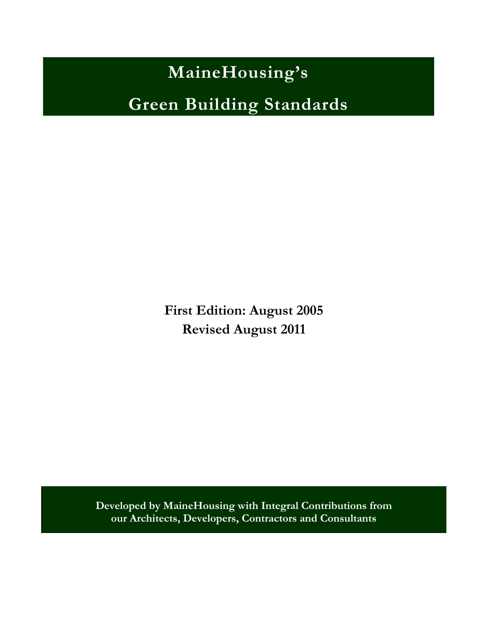**MaineHousing's**

**Green Building Standards**

**First Edition: August 2005 Revised August 2011**

**Developed by MaineHousing with Integral Contributions from our Architects, Developers, Contractors and Consultants**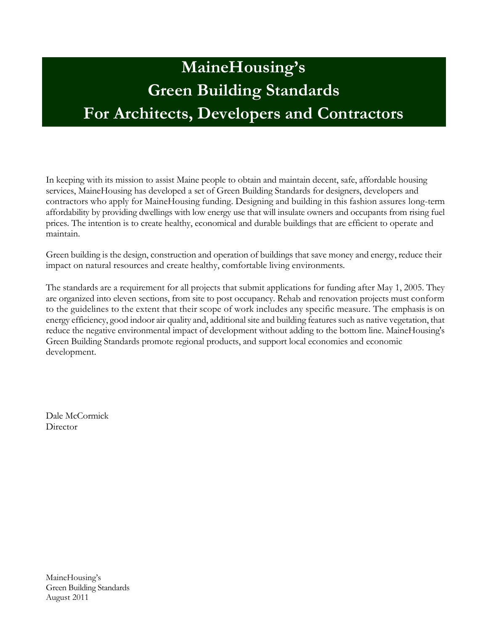# **MaineHousing's Green Building Standards For Architects, Developers and Contractors**

In keeping with its mission to assist Maine people to obtain and maintain decent, safe, affordable housing services, MaineHousing has developed a set of Green Building Standards for designers, developers and contractors who apply for MaineHousing funding. Designing and building in this fashion assures long-term affordability by providing dwellings with low energy use that will insulate owners and occupants from rising fuel prices. The intention is to create healthy, economical and durable buildings that are efficient to operate and maintain.

Green building is the design, construction and operation of buildings that save money and energy, reduce their impact on natural resources and create healthy, comfortable living environments.

The standards are a requirement for all projects that submit applications for funding after May 1, 2005. They are organized into eleven sections, from site to post occupancy. Rehab and renovation projects must conform to the guidelines to the extent that their scope of work includes any specific measure. The emphasis is on energy efficiency, good indoor air quality and, additional site and building features such as native vegetation, that reduce the negative environmental impact of development without adding to the bottom line. MaineHousing's Green Building Standards promote regional products, and support local economies and economic development.

Dale McCormick **Director** 

MaineHousing's Green Building Standards August 2011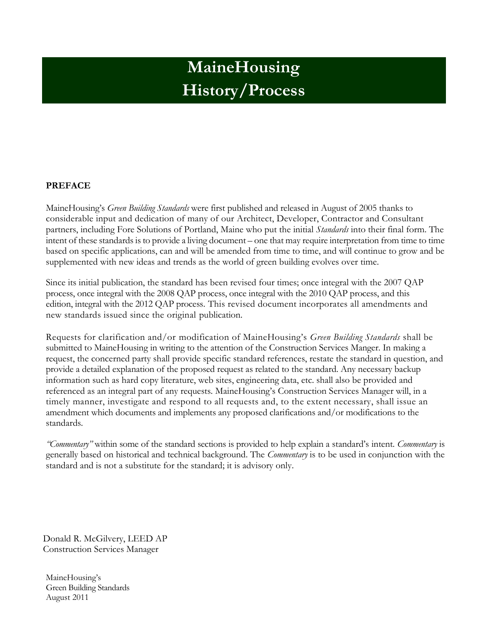# **MaineHousing History/Process**

#### **PREFACE**

MaineHousing's *Green Building Standards* were first published and released in August of 2005 thanks to considerable input and dedication of many of our Architect, Developer, Contractor and Consultant partners, including Fore Solutions of Portland, Maine who put the initial *Standards* into their final form. The intent of these standards is to provide a living document – one that may require interpretation from time to time based on specific applications, can and will be amended from time to time, and will continue to grow and be supplemented with new ideas and trends as the world of green building evolves over time.

Since its initial publication, the standard has been revised four times; once integral with the 2007 QAP process, once integral with the 2008 QAP process, once integral with the 2010 QAP process, and this edition, integral with the 2012 QAP process. This revised document incorporates all amendments and new standards issued since the original publication.

Requests for clarification and/or modification of MaineHousing's *Green Building Standards* shall be submitted to MaineHousing in writing to the attention of the Construction Services Manger. In making a request, the concerned party shall provide specific standard references, restate the standard in question, and provide a detailed explanation of the proposed request as related to the standard. Any necessary backup information such as hard copy literature, web sites, engineering data, etc. shall also be provided and referenced as an integral part of any requests. MaineHousing's Construction Services Manager will, in a timely manner, investigate and respond to all requests and, to the extent necessary, shall issue an amendment which documents and implements any proposed clarifications and/or modifications to the standards.

*"Commentary"* within some of the standard sections is provided to help explain a standard's intent. *Commentary* is generally based on historical and technical background. The *Commentary* is to be used in conjunction with the standard and is not a substitute for the standard; it is advisory only.

Donald R. McGilvery, LEED AP Construction Services Manager

MaineHousing's Green Building Standards August 2011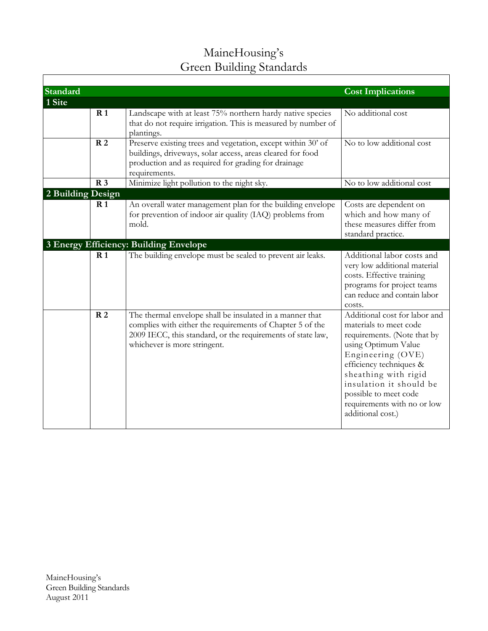| MaineHousing's           |
|--------------------------|
| Green Building Standards |

| <b>Standard</b>   |                 |                                                                                                                                                                                                                      | <b>Cost Implications</b>                                                                                                                                                                                                                                                                      |
|-------------------|-----------------|----------------------------------------------------------------------------------------------------------------------------------------------------------------------------------------------------------------------|-----------------------------------------------------------------------------------------------------------------------------------------------------------------------------------------------------------------------------------------------------------------------------------------------|
| 1 Site            |                 |                                                                                                                                                                                                                      |                                                                                                                                                                                                                                                                                               |
|                   | R <sub>1</sub>  | Landscape with at least 75% northern hardy native species<br>that do not require irrigation. This is measured by number of<br>plantings.                                                                             | No additional cost                                                                                                                                                                                                                                                                            |
|                   | R <sub>2</sub>  | Preserve existing trees and vegetation, except within 30' of<br>buildings, driveways, solar access, areas cleared for food<br>production and as required for grading for drainage<br>requirements.                   | No to low additional cost                                                                                                                                                                                                                                                                     |
|                   | R <sub>3</sub>  | Minimize light pollution to the night sky.                                                                                                                                                                           | No to low additional cost                                                                                                                                                                                                                                                                     |
| 2 Building Design |                 |                                                                                                                                                                                                                      |                                                                                                                                                                                                                                                                                               |
|                   | R <sub>1</sub>  | An overall water management plan for the building envelope<br>for prevention of indoor air quality (IAQ) problems from<br>mold.                                                                                      | Costs are dependent on<br>which and how many of<br>these measures differ from<br>standard practice.                                                                                                                                                                                           |
|                   |                 | 3 Energy Efficiency: Building Envelope                                                                                                                                                                               |                                                                                                                                                                                                                                                                                               |
|                   | $\mathbf{R}1$   | The building envelope must be sealed to prevent air leaks.                                                                                                                                                           | Additional labor costs and<br>very low additional material<br>costs. Effective training<br>programs for project teams<br>can reduce and contain labor<br>costs.                                                                                                                               |
|                   | $\overline{R2}$ | The thermal envelope shall be insulated in a manner that<br>complies with either the requirements of Chapter 5 of the<br>2009 IECC, this standard, or the requirements of state law,<br>whichever is more stringent. | Additional cost for labor and<br>materials to meet code<br>requirements. (Note that by<br>using Optimum Value<br>Engineering (OVE)<br>efficiency techniques &<br>sheathing with rigid<br>insulation it should be<br>possible to meet code<br>requirements with no or low<br>additional cost.) |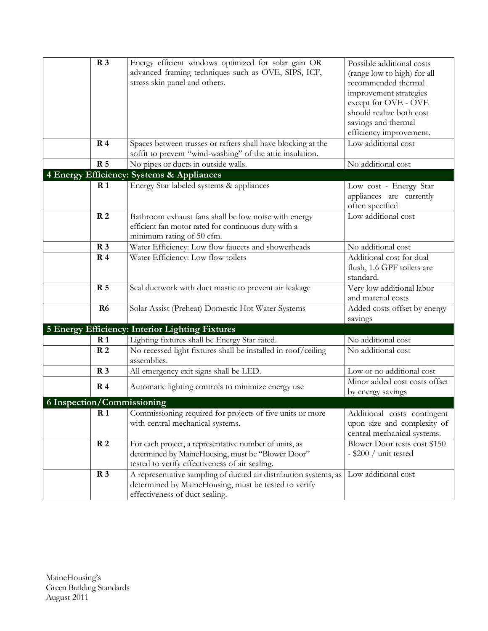| R <sub>3</sub> |                | Energy efficient windows optimized for solar gain OR<br>advanced framing techniques such as OVE, SIPS, ICF,<br>stress skin panel and others. | Possible additional costs<br>(range low to high) for all<br>recommended thermal |
|----------------|----------------|----------------------------------------------------------------------------------------------------------------------------------------------|---------------------------------------------------------------------------------|
|                |                |                                                                                                                                              | improvement strategies                                                          |
|                |                |                                                                                                                                              | except for OVE - OVE                                                            |
|                |                |                                                                                                                                              | should realize both cost<br>savings and thermal                                 |
|                |                |                                                                                                                                              | efficiency improvement.                                                         |
|                | R <sub>4</sub> | Spaces between trusses or rafters shall have blocking at the                                                                                 | Low additional cost                                                             |
|                |                | soffit to prevent "wind-washing" of the attic insulation.                                                                                    |                                                                                 |
|                | <b>R</b> 5     | No pipes or ducts in outside walls.                                                                                                          | No additional cost                                                              |
|                |                | 4 Energy Efficiency: Systems & Appliances                                                                                                    |                                                                                 |
|                | R <sub>1</sub> | Energy Star labeled systems & appliances                                                                                                     | Low cost - Energy Star                                                          |
|                |                |                                                                                                                                              | appliances are currently                                                        |
|                |                |                                                                                                                                              | often specified                                                                 |
|                | R <sub>2</sub> | Bathroom exhaust fans shall be low noise with energy                                                                                         | Low additional cost                                                             |
|                |                | efficient fan motor rated for continuous duty with a                                                                                         |                                                                                 |
|                | R <sub>3</sub> | minimum rating of 50 cfm.<br>Water Efficiency: Low flow faucets and showerheads                                                              | No additional cost                                                              |
|                | R <sub>4</sub> | Water Efficiency: Low flow toilets                                                                                                           | Additional cost for dual                                                        |
|                |                |                                                                                                                                              | flush, 1.6 GPF toilets are                                                      |
|                |                |                                                                                                                                              | standard.                                                                       |
|                | <b>R</b> 5     | Seal ductwork with duct mastic to prevent air leakage                                                                                        | Very low additional labor                                                       |
|                |                |                                                                                                                                              | and material costs                                                              |
|                | R <sub>6</sub> | Solar Assist (Preheat) Domestic Hot Water Systems                                                                                            | Added costs offset by energy                                                    |
|                |                |                                                                                                                                              | savings                                                                         |
|                |                | 5 Energy Efficiency: Interior Lighting Fixtures                                                                                              |                                                                                 |
|                | R <sub>1</sub> | Lighting fixtures shall be Energy Star rated.                                                                                                | No additional cost                                                              |
|                | R <sub>2</sub> | No recessed light fixtures shall be installed in roof/ceiling                                                                                | No additional cost                                                              |
|                |                | assemblies.                                                                                                                                  | Low or no additional cost                                                       |
|                | R <sub>3</sub> | All emergency exit signs shall be LED.                                                                                                       |                                                                                 |
|                | R <sub>4</sub> | Automatic lighting controls to minimize energy use                                                                                           | Minor added cost costs offset<br>by energy savings                              |
|                |                | <b>6 Inspection/Commissioning</b>                                                                                                            |                                                                                 |
|                | R <sub>1</sub> | Commissioning required for projects of five units or more                                                                                    | Additional costs contingent                                                     |
|                |                | with central mechanical systems.                                                                                                             | upon size and complexity of                                                     |
|                |                |                                                                                                                                              | central mechanical systems.                                                     |
|                | R <sub>2</sub> | For each project, a representative number of units, as                                                                                       | Blower Door tests cost \$150                                                    |
|                |                | determined by MaineHousing, must be "Blower Door"                                                                                            | $-$ \$200 / unit tested                                                         |
|                | R <sub>3</sub> | tested to verify effectiveness of air sealing.<br>A representative sampling of ducted air distribution systems, as                           | Low additional cost                                                             |
|                |                | determined by MaineHousing, must be tested to verify                                                                                         |                                                                                 |
|                |                | effectiveness of duct sealing.                                                                                                               |                                                                                 |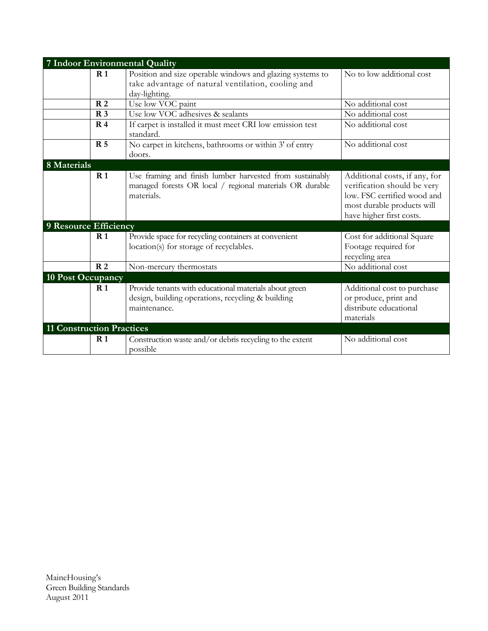|                                  | 7 Indoor Environmental Quality                                                                                                     |                                                                                                                                                       |
|----------------------------------|------------------------------------------------------------------------------------------------------------------------------------|-------------------------------------------------------------------------------------------------------------------------------------------------------|
| $\mathbf{R}1$                    | Position and size operable windows and glazing systems to<br>take advantage of natural ventilation, cooling and<br>day-lighting.   | No to low additional cost                                                                                                                             |
| R <sub>2</sub>                   | Use low VOC paint                                                                                                                  | No additional cost                                                                                                                                    |
| R <sub>3</sub>                   | Use low VOC adhesives & sealants                                                                                                   | No additional cost                                                                                                                                    |
| R <sub>4</sub>                   | If carpet is installed it must meet CRI low emission test<br>standard.                                                             | No additional cost                                                                                                                                    |
| <b>R</b> 5                       | No carpet in kitchens, bathrooms or within 3' of entry<br>doors.                                                                   | No additional cost                                                                                                                                    |
| 8 Materials                      |                                                                                                                                    |                                                                                                                                                       |
| R <sub>1</sub>                   | Use framing and finish lumber harvested from sustainably<br>managed forests OR local / regional materials OR durable<br>materials. | Additional costs, if any, for<br>verification should be very<br>low. FSC certified wood and<br>most durable products will<br>have higher first costs. |
| 9 Resource Efficiency            |                                                                                                                                    |                                                                                                                                                       |
| R <sub>1</sub>                   | Provide space for recycling containers at convenient<br>location(s) for storage of recyclables.                                    | Cost for additional Square<br>Footage required for<br>recycling area                                                                                  |
| R <sub>2</sub>                   | Non-mercury thermostats                                                                                                            | No additional cost                                                                                                                                    |
| 10 Post Occupancy                |                                                                                                                                    |                                                                                                                                                       |
| R <sub>1</sub>                   | Provide tenants with educational materials about green<br>design, building operations, recycling & building<br>maintenance.        | Additional cost to purchase<br>or produce, print and<br>distribute educational<br>materials                                                           |
| <b>11 Construction Practices</b> |                                                                                                                                    |                                                                                                                                                       |
| $\mathbf{R}1$                    | Construction waste and/or debris recycling to the extent<br>possible                                                               | No additional cost                                                                                                                                    |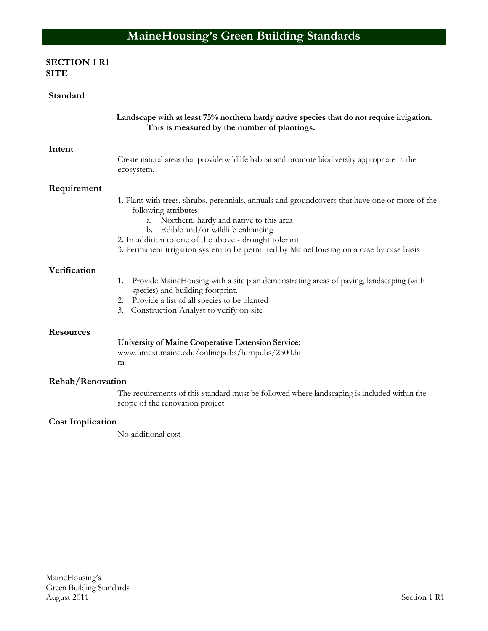# **SECTION 1 R1 SITE**

| Standard                |                                                                                                                                                                                                                                                                                                                                                                 |
|-------------------------|-----------------------------------------------------------------------------------------------------------------------------------------------------------------------------------------------------------------------------------------------------------------------------------------------------------------------------------------------------------------|
|                         | Landscape with at least 75% northern hardy native species that do not require irrigation.<br>This is measured by the number of plantings.                                                                                                                                                                                                                       |
| Intent                  |                                                                                                                                                                                                                                                                                                                                                                 |
|                         | Create natural areas that provide wildlife habitat and promote biodiversity appropriate to the<br>ecosystem.                                                                                                                                                                                                                                                    |
| Requirement             |                                                                                                                                                                                                                                                                                                                                                                 |
|                         | 1. Plant with trees, shrubs, perennials, annuals and groundcovers that have one or more of the<br>following attributes:<br>a. Northern, hardy and native to this area<br>b. Edible and/or wildlife enhancing<br>2. In addition to one of the above - drought tolerant<br>3. Permanent irrigation system to be permitted by MaineHousing on a case by case basis |
| Verification            |                                                                                                                                                                                                                                                                                                                                                                 |
|                         | Provide MaineHousing with a site plan demonstrating areas of paving, landscaping (with<br>1.<br>species) and building footprint.<br>2. Provide a list of all species to be planted<br>3. Construction Analyst to verify on site                                                                                                                                 |
|                         |                                                                                                                                                                                                                                                                                                                                                                 |
| <b>Resources</b>        |                                                                                                                                                                                                                                                                                                                                                                 |
|                         | <b>University of Maine Cooperative Extension Service:</b><br>www.umext.maine.edu/onlinepubs/htmpubs/2500.ht<br>m                                                                                                                                                                                                                                                |
| Rehab/Renovation        |                                                                                                                                                                                                                                                                                                                                                                 |
|                         | The requirements of this standard must be followed where landscaping is included within the<br>scope of the renovation project.                                                                                                                                                                                                                                 |
| <b>Cost Implication</b> |                                                                                                                                                                                                                                                                                                                                                                 |

No additional cost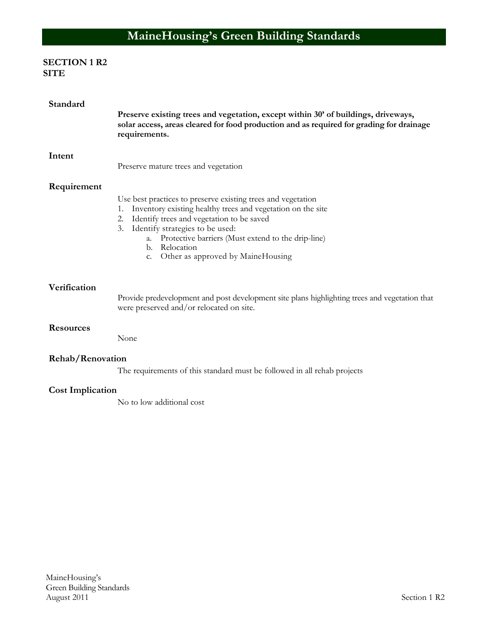# **SECTION 1 R2 SITE**

| Standard                | Preserve existing trees and vegetation, except within 30' of buildings, driveways,<br>solar access, areas cleared for food production and as required for grading for drainage<br>requirements.                                                                                                                                                 |
|-------------------------|-------------------------------------------------------------------------------------------------------------------------------------------------------------------------------------------------------------------------------------------------------------------------------------------------------------------------------------------------|
| Intent                  | Preserve mature trees and vegetation                                                                                                                                                                                                                                                                                                            |
| Requirement             | Use best practices to preserve existing trees and vegetation<br>Inventory existing healthy trees and vegetation on the site<br>1.<br>Identify trees and vegetation to be saved<br>2.<br>Identify strategies to be used:<br>3.<br>a. Protective barriers (Must extend to the drip-line)<br>b. Relocation<br>c. Other as approved by MaineHousing |
| Verification            | Provide predevelopment and post development site plans highlighting trees and vegetation that<br>were preserved and/or relocated on site.                                                                                                                                                                                                       |
| <b>Resources</b>        | None                                                                                                                                                                                                                                                                                                                                            |
| Rehab/Renovation        | The requirements of this standard must be followed in all rehab projects                                                                                                                                                                                                                                                                        |
| <b>Cost Implication</b> | No to low additional cost                                                                                                                                                                                                                                                                                                                       |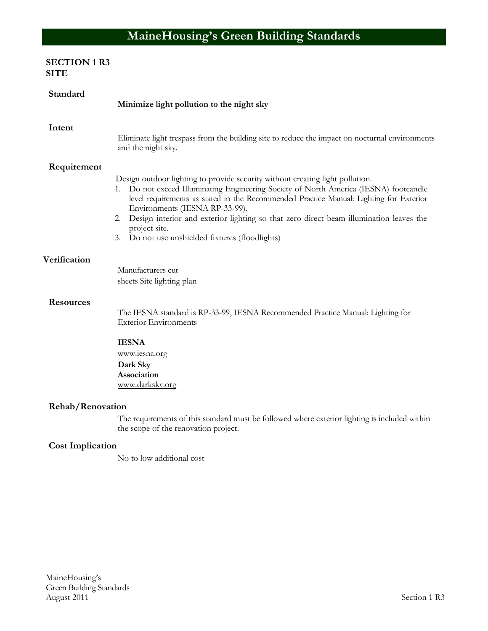# **SECTION 1 R3 SITE**

| Standard         | Minimize light pollution to the night sky                                                                                                                                                                                                                                                                                                                                                                                                                                 |
|------------------|---------------------------------------------------------------------------------------------------------------------------------------------------------------------------------------------------------------------------------------------------------------------------------------------------------------------------------------------------------------------------------------------------------------------------------------------------------------------------|
| Intent           | Eliminate light trespass from the building site to reduce the impact on nocturnal environments<br>and the night sky.                                                                                                                                                                                                                                                                                                                                                      |
| Requirement      | Design outdoor lighting to provide security without creating light pollution.<br>1. Do not exceed Illuminating Engineering Society of North America (IESNA) footcandle<br>level requirements as stated in the Recommended Practice Manual: Lighting for Exterior<br>Environments (IESNA RP-33-99).<br>Design interior and exterior lighting so that zero direct beam illumination leaves the<br>2.<br>project site.<br>Do not use unshielded fixtures (floodlights)<br>3. |
| Verification     | Manufacturers cut<br>sheets Site lighting plan                                                                                                                                                                                                                                                                                                                                                                                                                            |
| <b>Resources</b> | The IESNA standard is RP-33-99, IESNA Recommended Practice Manual: Lighting for<br><b>Exterior Environments</b><br><b>IESNA</b><br>www.iesna.org                                                                                                                                                                                                                                                                                                                          |
|                  | Dark Sky<br>Association<br>www.darksky.org                                                                                                                                                                                                                                                                                                                                                                                                                                |
| Rehab/Renovation |                                                                                                                                                                                                                                                                                                                                                                                                                                                                           |
|                  | The requirements of this standard must be followed where exterior lighting is included within<br>the scope of the renovation project.                                                                                                                                                                                                                                                                                                                                     |

# **Cost Implication**

No to low additional cost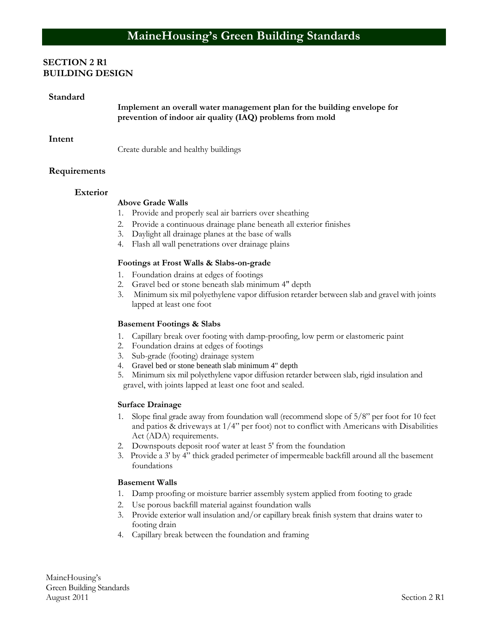#### **SECTION 2 R1 BUILDING DESIGN**

#### **Standard**

**Implement an overall water management plan for the building envelope for prevention of indoor air quality (IAQ) problems from mold**

#### **Intent**

Create durable and healthy buildings

#### **Requirements**

#### **Exterior**

#### **Above Grade Walls**

- 1. Provide and properly seal air barriers over sheathing
- 2. Provide a continuous drainage plane beneath all exterior finishes
- 3. Daylight all drainage planes at the base of walls
- 4. Flash all wall penetrations over drainage plains

#### **Footings at Frost Walls & Slabs-on-grade**

- 1. Foundation drains at edges of footings
- 2. Gravel bed or stone beneath slab minimum 4" depth
- 3. Minimum six mil polyethylene vapor diffusion retarder between slab and gravel with joints lapped at least one foot

#### **Basement Footings & Slabs**

- 1. Capillary break over footing with damp-proofing, low perm or elastomeric paint
- 2. Foundation drains at edges of footings
- 3. Sub-grade (footing) drainage system
- 4. Gravel bed or stone beneath slab minimum 4" depth
- 5. Minimum six mil polyethylene vapor diffusion retarder between slab, rigid insulation and gravel, with joints lapped at least one foot and sealed.

#### **Surface Drainage**

- 1. Slope final grade away from foundation wall (recommend slope of 5/8" per foot for 10 feet and patios  $\&$  driveways at  $1/4$ " per foot) not to conflict with Americans with Disabilities Act (ADA) requirements.
- 2. Downspouts deposit roof water at least 5' from the foundation
- 3. Provide a 3' by 4" thick graded perimeter of impermeable backfill around all the basement foundations

#### **Basement Walls**

- 1. Damp proofing or moisture barrier assembly system applied from footing to grade
- 2. Use porous backfill material against foundation walls
- 3. Provide exterior wall insulation and/or capillary break finish system that drains water to footing drain
- 4. Capillary break between the foundation and framing

MaineHousing's Green Building Standards August 2011 Section 2 R1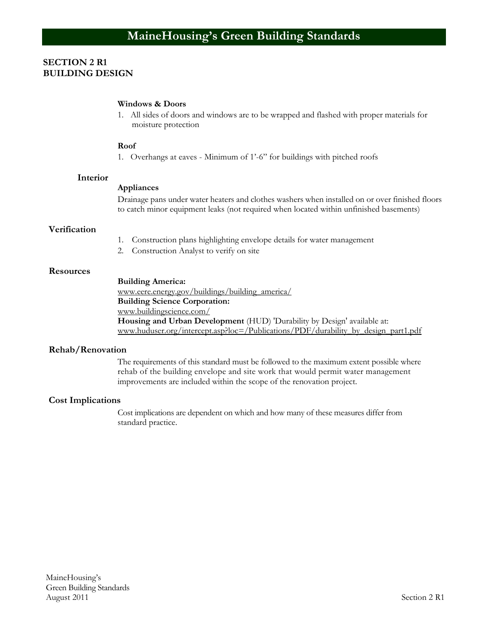#### **SECTION 2 R1 BUILDING DESIGN**

#### **Windows & Doors**

1. All sides of doors and windows are to be wrapped and flashed with proper materials for moisture protection

#### **Roof**

1. Overhangs at eaves - Minimum of 1'-6" for buildings with pitched roofs

#### **Interior**

#### **Appliances**

Drainage pans under water heaters and clothes washers when installed on or over finished floors to catch minor equipment leaks (not required when located within unfinished basements)

#### **Verification**

- 1. Construction plans highlighting envelope details for water management
- 2. Construction Analyst to verify on site

#### **Resources**

**Building America:** [www.eere.energy.gov/buildings/building\\_america/](http://www.eere.energy.gov/buildings/building_america/) **Building Science Corporation:** [www.buildingscience.com/](http://www.buildingscience.com/) **Housing and Urban Development** (HUD) 'Durability by Design' available at: [www.huduser.org/intercept.asp?loc=/Publications/PDF/durability\\_by\\_design\\_part1.pdf](http://www.huduser.org/intercept.asp?loc=/Publications/PDF/durability_by_design_part1.pdf)

#### **Rehab/Renovation**

The requirements of this standard must be followed to the maximum extent possible where rehab of the building envelope and site work that would permit water management improvements are included within the scope of the renovation project.

#### **Cost Implications**

Cost implications are dependent on which and how many of these measures differ from standard practice.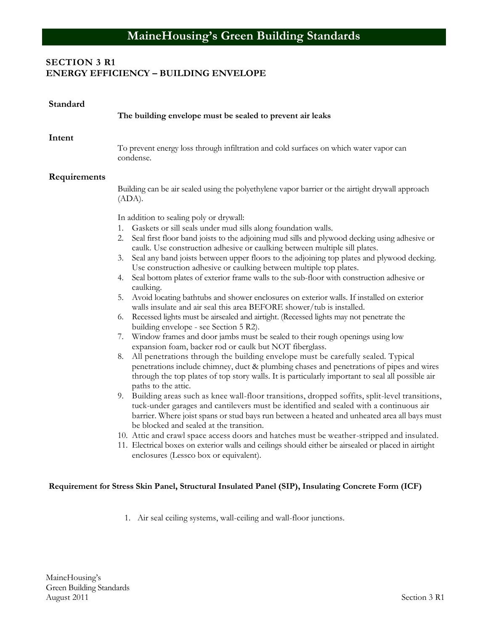# **SECTION 3 R1 ENERGY EFFICIENCY – BUILDING ENVELOPE**

| Standard     | The building envelope must be sealed to prevent air leaks                                                                                                                                                                                                                                                                                                                                                                                                                                                                                                                                                                                                                                                                                                                                                                                                                                                                                                                                                                                                                                                                                                                                                                                                                                                                                                                                                                                                                                                                                                                                                                                                                                                                                                                                                                                                                                                                          |
|--------------|------------------------------------------------------------------------------------------------------------------------------------------------------------------------------------------------------------------------------------------------------------------------------------------------------------------------------------------------------------------------------------------------------------------------------------------------------------------------------------------------------------------------------------------------------------------------------------------------------------------------------------------------------------------------------------------------------------------------------------------------------------------------------------------------------------------------------------------------------------------------------------------------------------------------------------------------------------------------------------------------------------------------------------------------------------------------------------------------------------------------------------------------------------------------------------------------------------------------------------------------------------------------------------------------------------------------------------------------------------------------------------------------------------------------------------------------------------------------------------------------------------------------------------------------------------------------------------------------------------------------------------------------------------------------------------------------------------------------------------------------------------------------------------------------------------------------------------------------------------------------------------------------------------------------------------|
| Intent       | To prevent energy loss through infiltration and cold surfaces on which water vapor can<br>condense.                                                                                                                                                                                                                                                                                                                                                                                                                                                                                                                                                                                                                                                                                                                                                                                                                                                                                                                                                                                                                                                                                                                                                                                                                                                                                                                                                                                                                                                                                                                                                                                                                                                                                                                                                                                                                                |
| Requirements | Building can be air sealed using the polyethylene vapor barrier or the airtight drywall approach                                                                                                                                                                                                                                                                                                                                                                                                                                                                                                                                                                                                                                                                                                                                                                                                                                                                                                                                                                                                                                                                                                                                                                                                                                                                                                                                                                                                                                                                                                                                                                                                                                                                                                                                                                                                                                   |
|              | (ADA).                                                                                                                                                                                                                                                                                                                                                                                                                                                                                                                                                                                                                                                                                                                                                                                                                                                                                                                                                                                                                                                                                                                                                                                                                                                                                                                                                                                                                                                                                                                                                                                                                                                                                                                                                                                                                                                                                                                             |
|              | In addition to sealing poly or drywall:                                                                                                                                                                                                                                                                                                                                                                                                                                                                                                                                                                                                                                                                                                                                                                                                                                                                                                                                                                                                                                                                                                                                                                                                                                                                                                                                                                                                                                                                                                                                                                                                                                                                                                                                                                                                                                                                                            |
|              | 1. Gaskets or sill seals under mud sills along foundation walls.<br>Seal first floor band joists to the adjoining mud sills and plywood decking using adhesive or<br>2.<br>caulk. Use construction adhesive or caulking between multiple sill plates.<br>Seal any band joists between upper floors to the adjoining top plates and plywood decking.<br>3.<br>Use construction adhesive or caulking between multiple top plates.<br>Seal bottom plates of exterior frame walls to the sub-floor with construction adhesive or<br>4.<br>caulking.<br>Avoid locating bathtubs and shower enclosures on exterior walls. If installed on exterior<br>5.<br>walls insulate and air seal this area BEFORE shower/tub is installed.<br>Recessed lights must be airsealed and airtight. (Recessed lights may not penetrate the<br>6.<br>building envelope - see Section 5 R2).<br>Window frames and door jambs must be sealed to their rough openings using low<br>7.<br>expansion foam, backer rod or caulk but NOT fiberglass.<br>All penetrations through the building envelope must be carefully sealed. Typical<br>8.<br>penetrations include chimney, duct & plumbing chases and penetrations of pipes and wires<br>through the top plates of top story walls. It is particularly important to seal all possible air<br>paths to the attic.<br>9. Building areas such as knee wall-floor transitions, dropped soffits, split-level transitions,<br>tuck-under garages and cantilevers must be identified and sealed with a continuous air<br>barrier. Where joist spans or stud bays run between a heated and unheated area all bays must<br>be blocked and sealed at the transition.<br>10. Attic and crawl space access doors and hatches must be weather-stripped and insulated.<br>11. Electrical boxes on exterior walls and ceilings should either be airsealed or placed in airtight<br>enclosures (Lessco box or equivalent). |

1. Air seal ceiling systems, wall-ceiling and wall-floor junctions.

**Requirement for Stress Skin Panel, Structural Insulated Panel (SIP), Insulating Concrete Form (ICF)**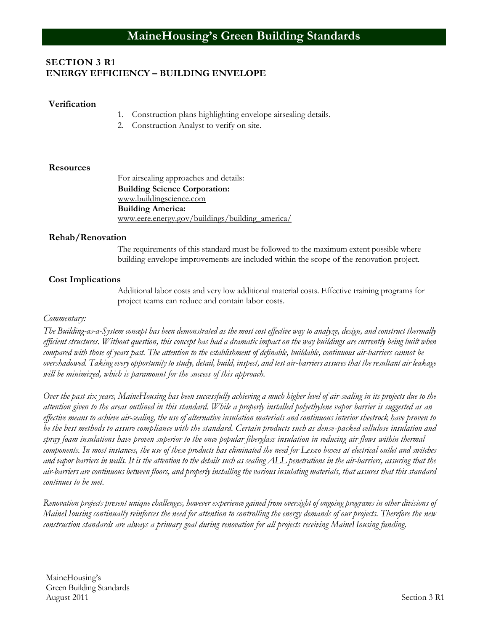## **SECTION 3 R1 ENERGY EFFICIENCY – BUILDING ENVELOPE**

#### **Verification**

- 1. Construction plans highlighting envelope airsealing details.
- 2. Construction Analyst to verify on site.

#### **Resources**

For airsealing approaches and details: **Building Science Corporation:** [www.buildingscience.com](http://www.buildingscience.com/) **Building America:** [www.eere.energy.gov/buildings/building\\_america/](http://www.eere.energy.gov/buildings/building_america/)

#### **Rehab/Renovation**

The requirements of this standard must be followed to the maximum extent possible where building envelope improvements are included within the scope of the renovation project.

#### **Cost Implications**

Additional labor costs and very low additional material costs. Effective training programs for project teams can reduce and contain labor costs.

#### *Commentary:*

*The Building-as-a-System concept has been demonstrated as the most cost effective way to analyze, design, and construct thermally efficient structures. Without question, this concept has had a dramatic impact on the way buildings are currently being built when compared with those of years past. The attention to the establishment of definable, buildable, continuous air-barriers cannot be overshadowed. Taking every opportunity to study, detail, build, inspect, and test air-barriers assures that the resultant air leakage will be minimized, which is paramount for the success of this approach.*

*Over the past six years, MaineHousing has been successfully achieving a much higher level of air-sealing in its projects due to the attention given to the areas outlined in this standard. While a properly installed polyethylene vapor barrier is suggested as an effective means to achieve air-sealing, the use of alternative insulation materials and continuous interior sheetrock have proven to be the best methods to assure compliance with the standard. Certain products such as dense-packed cellulose insulation and spray foam insulations have proven superior to the once popular fiberglass insulation in reducing air flows within thermal components. In most instances, the use of these products has eliminated the need for Lessco boxes at electrical outlet and switches and vapor barriers in walls. It is the attention to the details such as sealing ALL penetrations in the air-barriers, assuring that the air-barriers are continuous between floors, and properly installing the various insulating materials, that assures that this standard continues to be met.*

*Renovation projects present unique challenges, however experience gained from oversight of ongoing programs in other divisions of MaineHousing continually reinforces the need for attention to controlling the energy demands of our projects. Therefore the new construction standards are always a primary goal during renovation for all projects receiving MaineHousing funding.*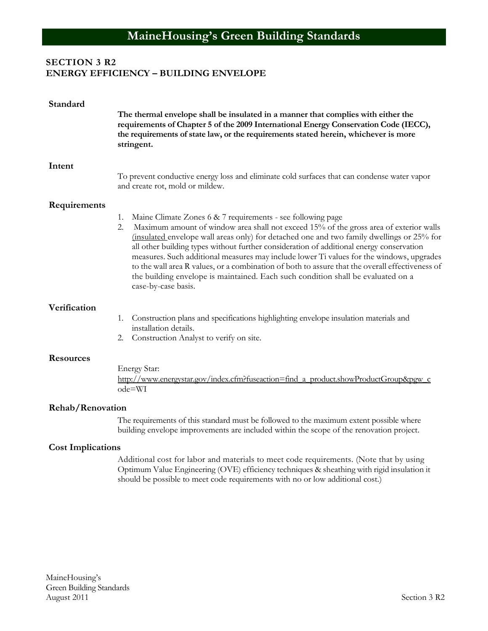# **SECTION 3 R2 ENERGY EFFICIENCY – BUILDING ENVELOPE**

| Standard                 | The thermal envelope shall be insulated in a manner that complies with either the<br>requirements of Chapter 5 of the 2009 International Energy Conservation Code (IECC),<br>the requirements of state law, or the requirements stated herein, whichever is more<br>stringent.                                                                                                                                                                                                                                                                                                                                                                                       |
|--------------------------|----------------------------------------------------------------------------------------------------------------------------------------------------------------------------------------------------------------------------------------------------------------------------------------------------------------------------------------------------------------------------------------------------------------------------------------------------------------------------------------------------------------------------------------------------------------------------------------------------------------------------------------------------------------------|
| Intent                   | To prevent conductive energy loss and eliminate cold surfaces that can condense water vapor<br>and create rot, mold or mildew.                                                                                                                                                                                                                                                                                                                                                                                                                                                                                                                                       |
| Requirements             |                                                                                                                                                                                                                                                                                                                                                                                                                                                                                                                                                                                                                                                                      |
|                          | Maine Climate Zones 6 & 7 requirements - see following page<br>1.<br>Maximum amount of window area shall not exceed 15% of the gross area of exterior walls<br>2.<br>(insulated envelope wall areas only) for detached one and two family dwellings or 25% for<br>all other building types without further consideration of additional energy conservation<br>measures. Such additional measures may include lower Ti values for the windows, upgrades<br>to the wall area R values, or a combination of both to assure that the overall effectiveness of<br>the building envelope is maintained. Each such condition shall be evaluated on a<br>case-by-case basis. |
| Verification             |                                                                                                                                                                                                                                                                                                                                                                                                                                                                                                                                                                                                                                                                      |
|                          | Construction plans and specifications highlighting envelope insulation materials and<br>1.<br>installation details.<br>2. Construction Analyst to verify on site.                                                                                                                                                                                                                                                                                                                                                                                                                                                                                                    |
|                          |                                                                                                                                                                                                                                                                                                                                                                                                                                                                                                                                                                                                                                                                      |
| <b>Resources</b>         | Energy Star:                                                                                                                                                                                                                                                                                                                                                                                                                                                                                                                                                                                                                                                         |
|                          | http://www.energystar.gov/index.cfm?fuseaction=find a product.showProductGroup&pgw c<br>ode=WI                                                                                                                                                                                                                                                                                                                                                                                                                                                                                                                                                                       |
| <b>Rehab/Renovation</b>  |                                                                                                                                                                                                                                                                                                                                                                                                                                                                                                                                                                                                                                                                      |
|                          | The requirements of this standard must be followed to the maximum extent possible where<br>building envelope improvements are included within the scope of the renovation project.                                                                                                                                                                                                                                                                                                                                                                                                                                                                                   |
| <b>Cost Implications</b> |                                                                                                                                                                                                                                                                                                                                                                                                                                                                                                                                                                                                                                                                      |
|                          | Additional cost for labor and materials to meet code requirements. (Note that by using<br>Optimum Value Engineering (OVE) efficiency techniques & sheathing with rigid insulation it                                                                                                                                                                                                                                                                                                                                                                                                                                                                                 |

should be possible to meet code requirements with no or low additional cost.)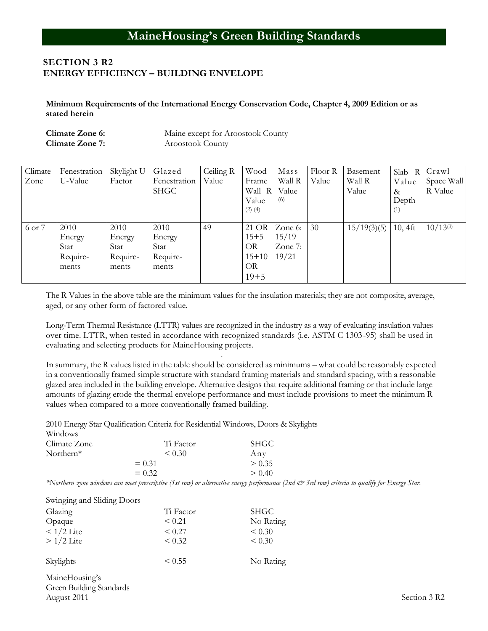#### **SECTION 3 R2 ENERGY EFFICIENCY – BUILDING ENVELOPE**

**Minimum Requirements of the International Energy Conservation Code, Chapter 4, 2009 Edition or as stated herein**

**Climate Zone 6:** Maine except for Aroostook County **Climate Zone 7:** Aroostook County

| Climate | Fenestration | Skylight U | Glazed       | Ceiling R | Wood        | Mass    | Floor R | Basement    | Slab<br>R  | Crawl         |
|---------|--------------|------------|--------------|-----------|-------------|---------|---------|-------------|------------|---------------|
| Zone    | U-Value      | Factor     | Fenestration | Value     | Frame       | Wall R  | Value   | Wall R      | Value      | Space Wall    |
|         |              |            | <b>SHGC</b>  |           | Wall R      | Value   |         | Value       | &          | R Value       |
|         |              |            |              |           | Value       | (6)     |         |             | Depth      |               |
|         |              |            |              |           | $(2)$ $(4)$ |         |         |             | (1)        |               |
|         |              |            |              |           |             |         |         |             |            |               |
| 6 or 7  | 2010         | 2010       | 2010         | 49        | 21 OR       | Zone 6: | 30      | 15/19(3)(5) | $10, 4$ ft | $10/13^{(3)}$ |
|         | Energy       | Energy     | Energy       |           | $15 + 5$    | 15/19   |         |             |            |               |
|         | Star         | Star       | Star         |           | <b>OR</b>   | Zone 7: |         |             |            |               |
|         | Require-     | Require-   | Require-     |           | $15+10$     | 19/21   |         |             |            |               |
|         | ments        | ments      | ments        |           | <b>OR</b>   |         |         |             |            |               |
|         |              |            |              |           | $19 + 5$    |         |         |             |            |               |

The R Values in the above table are the minimum values for the insulation materials; they are not composite, average, aged, or any other form of factored value.

Long-Term Thermal Resistance (LTTR) values are recognized in the industry as a way of evaluating insulation values over time. LTTR, when tested in accordance with recognized standards (i.e. ASTM C 1303-95) shall be used in evaluating and selecting products for MaineHousing projects.

. In summary, the R values listed in the table should be considered as minimums – what could be reasonably expected in a conventionally framed simple structure with standard framing materials and standard spacing, with a reasonable glazed area included in the building envelope. Alternative designs that require additional framing or that include large amounts of glazing erode the thermal envelope performance and must include provisions to meet the minimum R values when compared to a more conventionally framed building.

2010 Energy Star Qualification Criteria for Residential Windows, Doors & Skylights

| Windows      |           |             |  |
|--------------|-----------|-------------|--|
| Climate Zone | Ti Factor | <b>SHGC</b> |  |
| Northern $*$ | < 0.30    | Any         |  |
|              | $= 0.31$  | > 0.35      |  |
|              | $= 0.32$  | > 0.40      |  |

*\*Northern zone windows can meet prescriptive (1st row) or alternative energy performance (2nd & 3rd row) criteria to qualify for Energy Star.*

| Swinging and Sliding Doors |             |             |
|----------------------------|-------------|-------------|
| Glazing                    | Ti Factor   | <b>SHGC</b> |
| Opaque                     | < 0.21      | No Rating   |
| $< 1/2$ Lite               | < 0.27      | < 0.30      |
| $>1/2$ Lite                | < 0.32      | < 0.30      |
| Skylights                  | $\leq 0.55$ | No Rating   |
| MaineHousing's             |             |             |

Green Building Standards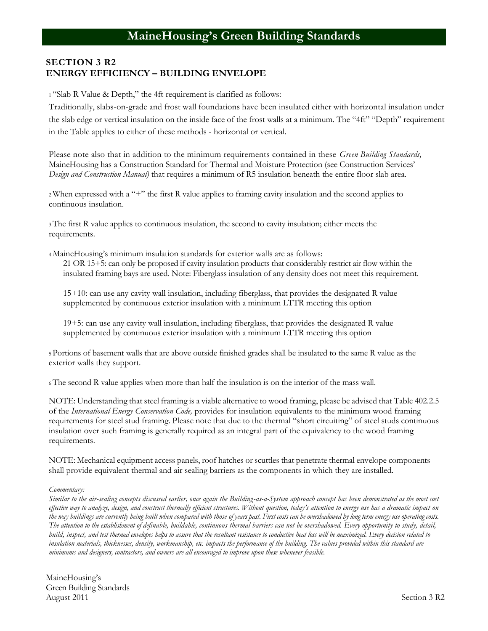# **SECTION 3 R2 ENERGY EFFICIENCY – BUILDING ENVELOPE**

<sup>1</sup>"Slab R Value & Depth," the 4ft requirement is clarified as follows:

Traditionally, slabs-on-grade and frost wall foundations have been insulated either with horizontal insulation under the slab edge or vertical insulation on the inside face of the frost walls at a minimum. The "4ft" "Depth" requirement in the Table applies to either of these methods - horizontal or vertical.

Please note also that in addition to the minimum requirements contained in these *Green Building Standards,*  MaineHousing has a Construction Standard for Thermal and Moisture Protection (see Construction Services' *Design and Construction Manual)* that requires a minimum of R5 insulation beneath the entire floor slab area.

<sup>2</sup>When expressed with a "+" the first R value applies to framing cavity insulation and the second applies to continuous insulation.

<sup>3</sup>The first R value applies to continuous insulation, the second to cavity insulation; either meets the requirements.

<sup>4</sup>MaineHousing's minimum insulation standards for exterior walls are as follows: 21 OR 15+5: can only be proposed if cavity insulation products that considerably restrict air flow within the insulated framing bays are used. Note: Fiberglass insulation of any density does not meet this requirement.

15+10: can use any cavity wall insulation, including fiberglass, that provides the designated R value supplemented by continuous exterior insulation with a minimum LTTR meeting this option

19+5: can use any cavity wall insulation, including fiberglass, that provides the designated R value supplemented by continuous exterior insulation with a minimum LTTR meeting this option

<sup>5</sup>Portions of basement walls that are above outside finished grades shall be insulated to the same R value as the exterior walls they support.

<sup>6</sup>The second R value applies when more than half the insulation is on the interior of the mass wall.

NOTE: Understanding that steel framing is a viable alternative to wood framing, please be advised that Table 402.2.5 of the *International Energy Conservation Code,* provides for insulation equivalents to the minimum wood framing requirements for steel stud framing. Please note that due to the thermal "short circuiting" of steel studs continuous insulation over such framing is generally required as an integral part of the equivalency to the wood framing requirements.

NOTE: Mechanical equipment access panels, roof hatches or scuttles that penetrate thermal envelope components shall provide equivalent thermal and air sealing barriers as the components in which they are installed.

#### *Commentary:*

*Similar to the air-sealing concepts discussed earlier, once again the Building-as-a-System approach concept has been demonstrated as the most cost effective way to analyze, design, and construct thermally efficient structures. Without question, today's attention to energy use has a dramatic impact on the way buildings are currently being built when compared with those of years past. First costs can be overshadowed by long term energy use operating costs. The attention to the establishment of definable, buildable, continuous thermal barriers can not be overshadowed. Every opportunity to study, detail, build, inspect, and test thermal envelopes helps to assure that the resultant resistance to conductive heat loss will be maximized. Every decision related to insulation materials, thicknesses, density, workmanship, etc. impacts the performance of the building. The values provided within this standard are minimums and designers, contractors, and owners are all encouraged to improve upon these whenever feasible.*

MaineHousing's Green Building Standards August 2011 Section 3 R2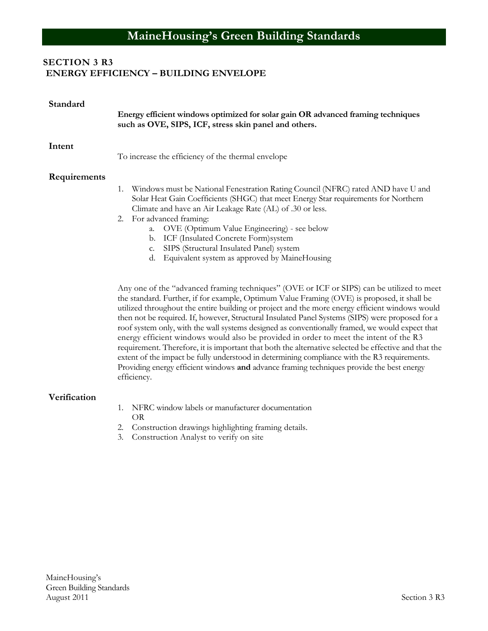# **SECTION 3 R3 ENERGY EFFICIENCY – BUILDING ENVELOPE**

| Standard     | Energy efficient windows optimized for solar gain OR advanced framing techniques<br>such as OVE, SIPS, ICF, stress skin panel and others.                                                                                                                                                                                                                                                                                                                                                                                                                                                                                                                                                                                                                                                                                                                                                                      |
|--------------|----------------------------------------------------------------------------------------------------------------------------------------------------------------------------------------------------------------------------------------------------------------------------------------------------------------------------------------------------------------------------------------------------------------------------------------------------------------------------------------------------------------------------------------------------------------------------------------------------------------------------------------------------------------------------------------------------------------------------------------------------------------------------------------------------------------------------------------------------------------------------------------------------------------|
| Intent       | To increase the efficiency of the thermal envelope                                                                                                                                                                                                                                                                                                                                                                                                                                                                                                                                                                                                                                                                                                                                                                                                                                                             |
| Requirements | Windows must be National Fenestration Rating Council (NFRC) rated AND have U and<br>1.<br>Solar Heat Gain Coefficients (SHGC) that meet Energy Star requirements for Northern<br>Climate and have an Air Leakage Rate (AL) of .30 or less.<br>2. For advanced framing:<br>OVE (Optimum Value Engineering) - see below<br>a.<br>ICF (Insulated Concrete Form) system<br>b.<br>SIPS (Structural Insulated Panel) system<br>c.<br>Equivalent system as approved by MaineHousing<br>d.                                                                                                                                                                                                                                                                                                                                                                                                                             |
|              | Any one of the "advanced framing techniques" (OVE or ICF or SIPS) can be utilized to meet<br>the standard. Further, if for example, Optimum Value Framing (OVE) is proposed, it shall be<br>utilized throughout the entire building or project and the more energy efficient windows would<br>then not be required. If, however, Structural Insulated Panel Systems (SIPS) were proposed for a<br>roof system only, with the wall systems designed as conventionally framed, we would expect that<br>energy efficient windows would also be provided in order to meet the intent of the R3<br>requirement. Therefore, it is important that both the alternative selected be effective and that the<br>extent of the impact be fully understood in determining compliance with the R3 requirements.<br>Providing energy efficient windows and advance framing techniques provide the best energy<br>efficiency. |
| Verification | NFRC window labels or manufacturer documentation<br>1.<br>OR<br>2. Construction drawings highlighting framing details.<br>Construction Analyst to verify on site<br>3.                                                                                                                                                                                                                                                                                                                                                                                                                                                                                                                                                                                                                                                                                                                                         |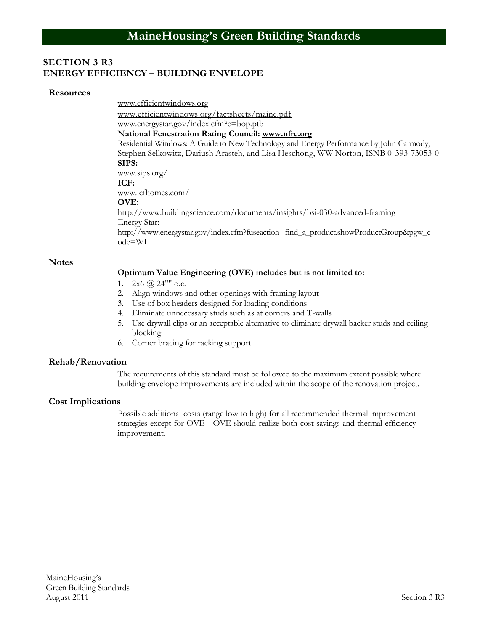#### **SECTION 3 R3 ENERGY EFFICIENCY – BUILDING ENVELOPE**

#### **Resources**

[www.efficientwindows.org](http://www.efficientwindows.org/) [www.efficientwindows.org/factsheets/maine.pdf](http://www.efficientwindows.org/factsheets/maine.pdf) www.energystar.gov/index.cfm?c=bop.ptb **National Fenestration Rating Council: [www.nfrc.org](http://www.nfrc.org/)** Residential Windows: A Guide to New Technology and Energy Performance by John Carmody, Stephen Selkowitz, Dariush Arasteh, and Lisa Heschong, WW Norton, ISNB 0-393-73053-0 **SIPS:** [www.sips.org/](http://www.sips.org/) **ICF:** [www.icfhomes.com/](http://www.icfhomes.com/) **OVE:** http://www.buildingscience.com/documents/insights/bsi-030-advanced-framing Energy Star: [http://www.energystar.gov/index.cfm?fuseaction=find\\_a\\_product.showProductGroup&pgw\\_c](http://www.energystar.gov/index.cfm?fuseaction=find_a_product.showProductGroup&pgw_c) ode=WI

#### **Notes**

#### **Optimum Value Engineering (OVE) includes but is not limited to:**

- 1.  $2x6$  ( $a)$  24"" o.c.
- 2. Align windows and other openings with framing layout
- 3. Use of box headers designed for loading conditions
- 4. Eliminate unnecessary studs such as at corners and T-walls
- 5. Use drywall clips or an acceptable alternative to eliminate drywall backer studs and ceiling blocking
- 6. Corner bracing for racking support

#### **Rehab/Renovation**

The requirements of this standard must be followed to the maximum extent possible where building envelope improvements are included within the scope of the renovation project.

#### **Cost Implications**

Possible additional costs (range low to high) for all recommended thermal improvement strategies except for OVE - OVE should realize both cost savings and thermal efficiency improvement.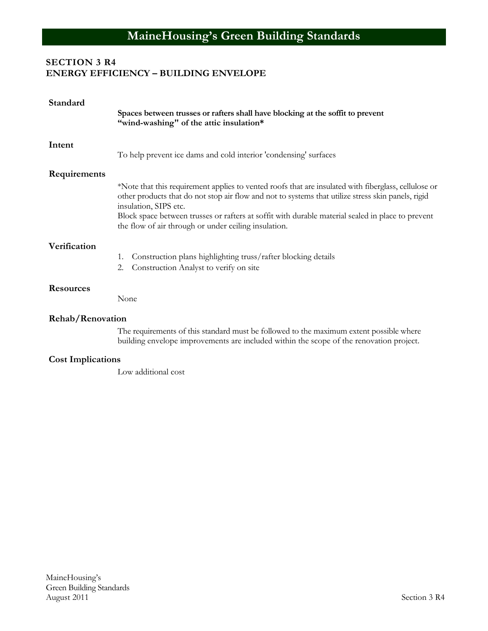# **SECTION 3 R4 ENERGY EFFICIENCY – BUILDING ENVELOPE**

| Standard                 | Spaces between trusses or rafters shall have blocking at the soffit to prevent<br>"wind-washing" of the attic insulation*                                                                                                                                                                                                                                                                        |  |  |
|--------------------------|--------------------------------------------------------------------------------------------------------------------------------------------------------------------------------------------------------------------------------------------------------------------------------------------------------------------------------------------------------------------------------------------------|--|--|
| Intent                   | To help prevent ice dams and cold interior 'condensing' surfaces                                                                                                                                                                                                                                                                                                                                 |  |  |
| Requirements             |                                                                                                                                                                                                                                                                                                                                                                                                  |  |  |
|                          | *Note that this requirement applies to vented roofs that are insulated with fiberglass, cellulose or<br>other products that do not stop air flow and not to systems that utilize stress skin panels, rigid<br>insulation, SIPS etc.<br>Block space between trusses or rafters at soffit with durable material sealed in place to prevent<br>the flow of air through or under ceiling insulation. |  |  |
| Verification             | Construction plans highlighting truss/rafter blocking details<br>1.<br>Construction Analyst to verify on site<br>2.                                                                                                                                                                                                                                                                              |  |  |
| <b>Resources</b>         | None                                                                                                                                                                                                                                                                                                                                                                                             |  |  |
| Rehab/Renovation         |                                                                                                                                                                                                                                                                                                                                                                                                  |  |  |
|                          | The requirements of this standard must be followed to the maximum extent possible where<br>building envelope improvements are included within the scope of the renovation project.                                                                                                                                                                                                               |  |  |
| <b>Cost Implications</b> |                                                                                                                                                                                                                                                                                                                                                                                                  |  |  |
|                          | Low additional cost                                                                                                                                                                                                                                                                                                                                                                              |  |  |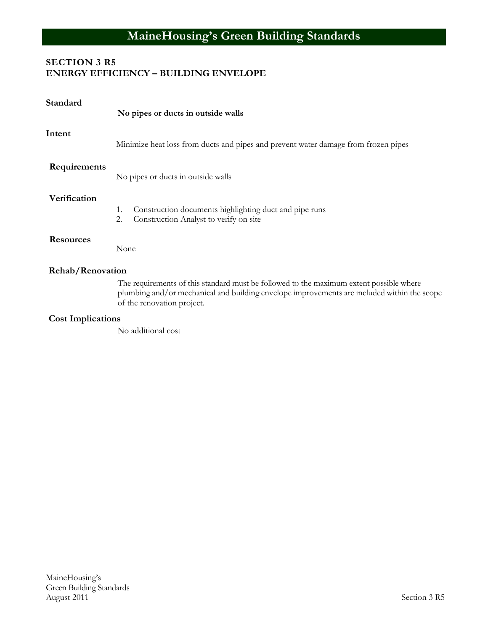# **MaineHousing's Green Building Standards**

# **SECTION 3 R5 ENERGY EFFICIENCY – BUILDING ENVELOPE**

| Standard                 | No pipes or ducts in outside walls                                                                                                                                                                                   |  |
|--------------------------|----------------------------------------------------------------------------------------------------------------------------------------------------------------------------------------------------------------------|--|
| Intent                   | Minimize heat loss from ducts and pipes and prevent water damage from frozen pipes                                                                                                                                   |  |
| Requirements             | No pipes or ducts in outside walls                                                                                                                                                                                   |  |
| Verification             | Construction documents highlighting duct and pipe runs<br>1.<br>Construction Analyst to verify on site<br>2.                                                                                                         |  |
| <b>Resources</b>         | None                                                                                                                                                                                                                 |  |
| Rehab/Renovation         |                                                                                                                                                                                                                      |  |
|                          | The requirements of this standard must be followed to the maximum extent possible where<br>plumbing and/or mechanical and building envelope improvements are included within the scope<br>of the renovation project. |  |
| <b>Cost Implications</b> |                                                                                                                                                                                                                      |  |

No additional cost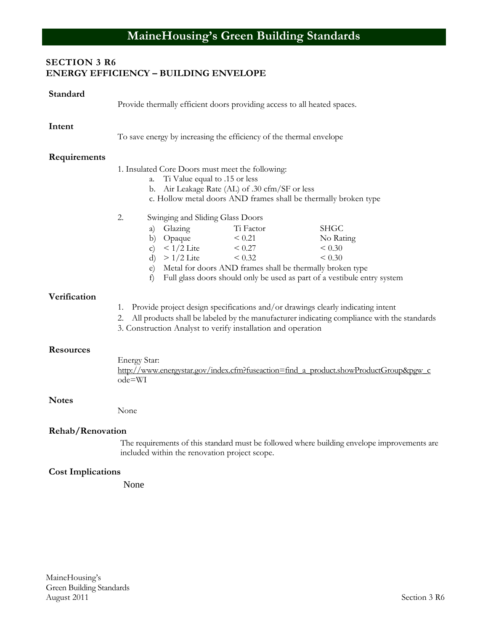# **SECTION 3 R6 ENERGY EFFICIENCY – BUILDING ENVELOPE**

| Standard                 | Provide thermally efficient doors providing access to all heated spaces.                                                                                                                                                                                                                                                                             |                                              |
|--------------------------|------------------------------------------------------------------------------------------------------------------------------------------------------------------------------------------------------------------------------------------------------------------------------------------------------------------------------------------------------|----------------------------------------------|
| Intent                   | To save energy by increasing the efficiency of the thermal envelope                                                                                                                                                                                                                                                                                  |                                              |
| Requirements             | 1. Insulated Core Doors must meet the following:<br>Ti Value equal to .15 or less<br>a.<br>Air Leakage Rate (AL) of .30 cfm/SF or less<br>b.<br>c. Hollow metal doors AND frames shall be thermally broken type                                                                                                                                      |                                              |
|                          | 2.<br>Swinging and Sliding Glass Doors<br>Glazing<br>Ti Factor<br>a)<br>${}< 0.21$<br>Opaque<br>b)<br>$< 1/2$ Lite<br>${}< 0.27$<br>$\mathbf{c})$<br>$>1/2$ Lite<br>< 0.32<br>$\rm d$<br>Metal for doors AND frames shall be thermally broken type<br>$\epsilon$ )<br>f)<br>Full glass doors should only be used as part of a vestibule entry system | <b>SHGC</b><br>No Rating<br>< 0.30<br>< 0.30 |
| Verification             | Provide project design specifications and/or drawings clearly indicating intent<br>1.<br>All products shall be labeled by the manufacturer indicating compliance with the standards<br>2.<br>3. Construction Analyst to verify installation and operation                                                                                            |                                              |
| <b>Resources</b>         | Energy Star:<br>http://www.energystar.gov/index.cfm?fuseaction=find a product.showProductGroup&pgw c<br>ode=WI                                                                                                                                                                                                                                       |                                              |
| <b>Notes</b>             | None                                                                                                                                                                                                                                                                                                                                                 |                                              |
| Rehab/Renovation         | The requirements of this standard must be followed where building envelope improvements are<br>included within the renovation project scope.                                                                                                                                                                                                         |                                              |
| <b>Cost Implications</b> |                                                                                                                                                                                                                                                                                                                                                      |                                              |

None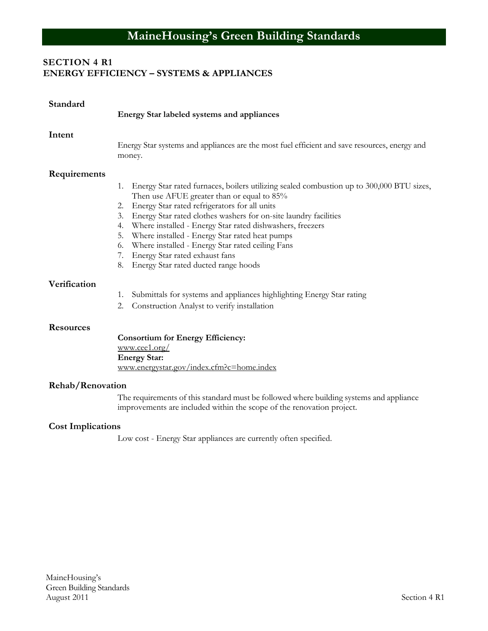# **MaineHousing's Green Building Standards**

# **SECTION 4 R1 ENERGY EFFICIENCY – SYSTEMS & APPLIANCES**

| Standard                 | Energy Star labeled systems and appliances                                                                                                                                                                                                                                                                                                                                                                                                                                                                                                               |  |
|--------------------------|----------------------------------------------------------------------------------------------------------------------------------------------------------------------------------------------------------------------------------------------------------------------------------------------------------------------------------------------------------------------------------------------------------------------------------------------------------------------------------------------------------------------------------------------------------|--|
| Intent                   | Energy Star systems and appliances are the most fuel efficient and save resources, energy and<br>money.                                                                                                                                                                                                                                                                                                                                                                                                                                                  |  |
| Requirements             | Energy Star rated furnaces, boilers utilizing sealed combustion up to 300,000 BTU sizes,<br>1.<br>Then use AFUE greater than or equal to 85%<br>Energy Star rated refrigerators for all units<br>2.<br>Energy Star rated clothes washers for on-site laundry facilities<br>3.<br>Where installed - Energy Star rated dishwashers, freezers<br>4.<br>Where installed - Energy Star rated heat pumps<br>5.<br>Where installed - Energy Star rated ceiling Fans<br>6.<br>Energy Star rated exhaust fans<br>7.<br>Energy Star rated ducted range hoods<br>8. |  |
| Verification             | Submittals for systems and appliances highlighting Energy Star rating<br>1.<br>2.<br>Construction Analyst to verify installation                                                                                                                                                                                                                                                                                                                                                                                                                         |  |
| <b>Resources</b>         | <b>Consortium for Energy Efficiency:</b><br>www.ceel.org/<br><b>Energy Star:</b><br>www.energystar.gov/index.cfm?c=home.index                                                                                                                                                                                                                                                                                                                                                                                                                            |  |
| Rehab/Renovation         |                                                                                                                                                                                                                                                                                                                                                                                                                                                                                                                                                          |  |
|                          | The requirements of this standard must be followed where building systems and appliance<br>improvements are included within the scope of the renovation project.                                                                                                                                                                                                                                                                                                                                                                                         |  |
| <b>Cost Implications</b> |                                                                                                                                                                                                                                                                                                                                                                                                                                                                                                                                                          |  |
|                          | Low cost - Energy Star appliances are currently often specified.                                                                                                                                                                                                                                                                                                                                                                                                                                                                                         |  |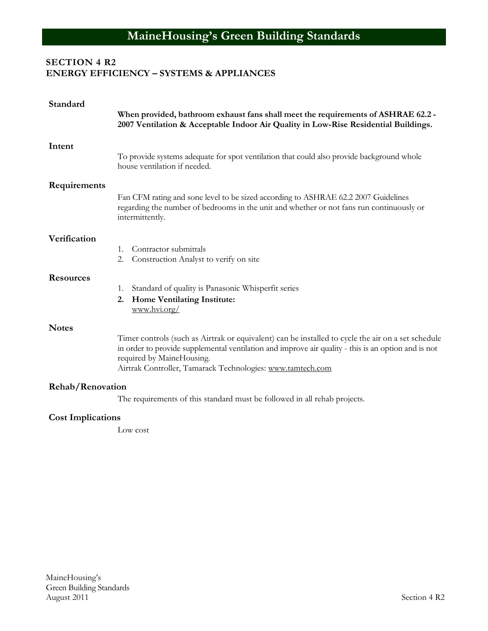# **SECTION 4 R2 ENERGY EFFICIENCY – SYSTEMS & APPLIANCES**

| Standard                 | When provided, bathroom exhaust fans shall meet the requirements of ASHRAE 62.2 -<br>2007 Ventilation & Acceptable Indoor Air Quality in Low-Rise Residential Buildings.                                                                                                                             |
|--------------------------|------------------------------------------------------------------------------------------------------------------------------------------------------------------------------------------------------------------------------------------------------------------------------------------------------|
| Intent                   | To provide systems adequate for spot ventilation that could also provide background whole<br>house ventilation if needed.                                                                                                                                                                            |
| Requirements             | Fan CFM rating and sone level to be sized according to ASHRAE 62.2 2007 Guidelines<br>regarding the number of bedrooms in the unit and whether or not fans run continuously or<br>intermittently.                                                                                                    |
| Verification             | Contractor submittals<br>1.<br>2.<br>Construction Analyst to verify on site                                                                                                                                                                                                                          |
| <b>Resources</b>         | Standard of quality is Panasonic Whisperfit series<br>1.<br>Home Ventilating Institute:<br>2.<br>www.hvi.org/                                                                                                                                                                                        |
| <b>Notes</b>             | Timer controls (such as Airtrak or equivalent) can be installed to cycle the air on a set schedule<br>in order to provide supplemental ventilation and improve air quality - this is an option and is not<br>required by MaineHousing.<br>Airtrak Controller, Tamarack Technologies: www.tamtech.com |
| Rehab/Renovation         | The requirements of this standard must be followed in all rehab projects.                                                                                                                                                                                                                            |
| <b>Cost Implications</b> |                                                                                                                                                                                                                                                                                                      |

Low cost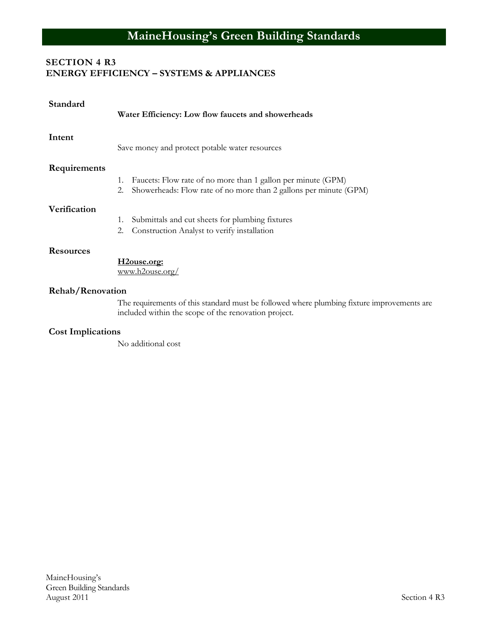# **SECTION 4 R3 ENERGY EFFICIENCY – SYSTEMS & APPLIANCES**

| Standard                | Water Efficiency: Low flow faucets and showerheads                                                                                                 |
|-------------------------|----------------------------------------------------------------------------------------------------------------------------------------------------|
| Intent                  | Save money and protect potable water resources                                                                                                     |
| Requirements            | Faucets: Flow rate of no more than 1 gallon per minute (GPM)<br>1.<br>Showerheads: Flow rate of no more than 2 gallons per minute (GPM)<br>2.      |
| Verification            | Submittals and cut sheets for plumbing fixtures<br>1.<br>Construction Analyst to verify installation<br>2.                                         |
| <b>Resources</b>        | H <sub>2</sub> ouse.org:<br>www.h2ouse.org/                                                                                                        |
| <b>Rehab/Renovation</b> | The requirements of this standard must be followed where plumbing fixture improvements are<br>included within the scope of the renovation project. |
|                         |                                                                                                                                                    |

#### **Cost Implications**

No additional cost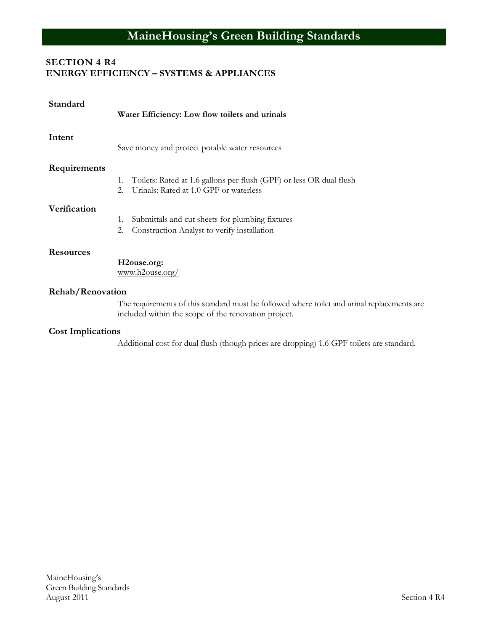# **SECTION 4 R4 ENERGY EFFICIENCY – SYSTEMS & APPLIANCES**

| Standard         | Water Efficiency: Low flow toilets and urinals                                                                                                      |
|------------------|-----------------------------------------------------------------------------------------------------------------------------------------------------|
| Intent           | Save money and protect potable water resources                                                                                                      |
| Requirements     |                                                                                                                                                     |
|                  | Toilets: Rated at 1.6 gallons per flush (GPF) or less OR dual flush<br>1.<br>Urinals: Rated at 1.0 GPF or waterless<br>2.                           |
| Verification     |                                                                                                                                                     |
|                  | Submittals and cut sheets for plumbing fixtures<br>1.                                                                                               |
|                  | Construction Analyst to verify installation<br>2.                                                                                                   |
| <b>Resources</b> |                                                                                                                                                     |
|                  | H <sub>2</sub> ouse.org:<br>www.h2ouse.org/                                                                                                         |
| Rehab/Renovation |                                                                                                                                                     |
|                  | The requirements of this standard must be followed where toilet and urinal replacements are<br>included within the scope of the renovation project. |

# **Cost Implications**

Additional cost for dual flush (though prices are dropping) 1.6 GPF toilets are standard.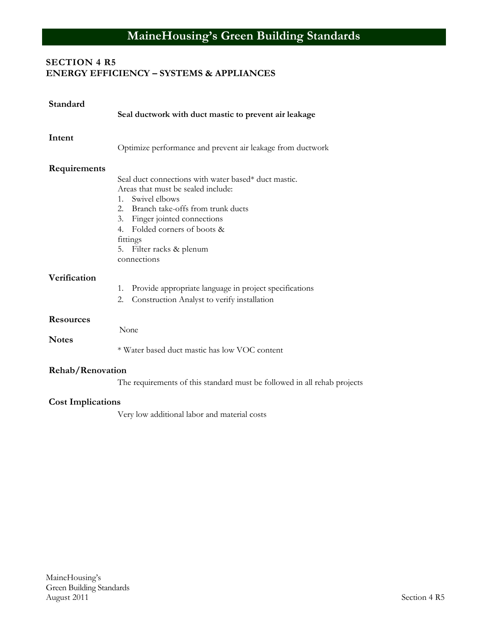# **SECTION 4 R5 ENERGY EFFICIENCY – SYSTEMS & APPLIANCES**

| Standard                                             | Seal ductwork with duct mastic to prevent air leakage                                                                                                                                                                                                                                        |
|------------------------------------------------------|----------------------------------------------------------------------------------------------------------------------------------------------------------------------------------------------------------------------------------------------------------------------------------------------|
| Intent                                               | Optimize performance and prevent air leakage from ductwork                                                                                                                                                                                                                                   |
| Requirements                                         | Seal duct connections with water based* duct mastic.<br>Areas that must be sealed include:<br>Swivel elbows<br>$1_{-}$<br>2. Branch take-offs from trunk ducts<br>Finger jointed connections<br>3.<br>Folded corners of boots &<br>4.<br>fittings<br>5. Filter racks & plenum<br>connections |
| Verification                                         | Provide appropriate language in project specifications<br>1.<br>2.<br>Construction Analyst to verify installation                                                                                                                                                                            |
| <b>Resources</b><br><b>Notes</b><br>Rehab/Renovation | None<br>* Water based duct mastic has low VOC content                                                                                                                                                                                                                                        |
|                                                      | The requirements of this standard must be followed in all rehab projects                                                                                                                                                                                                                     |

# **Cost Implications**

Very low additional labor and material costs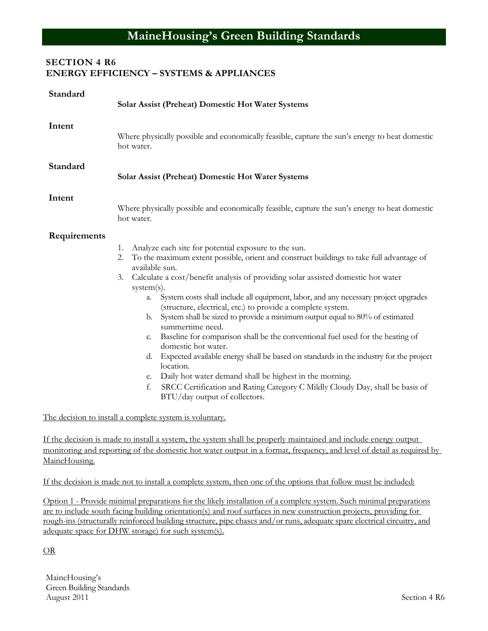# **SECTION 4 R6 ENERGY EFFICIENCY – SYSTEMS & APPLIANCES**

| Standard      | <b>Solar Assist (Preheat) Domestic Hot Water Systems</b>                                                                                                                                                                                                                                                                                                                                                                                                                                                                                                                                                                                                                                                                                                                                                                                                                                                                                                                        |
|---------------|---------------------------------------------------------------------------------------------------------------------------------------------------------------------------------------------------------------------------------------------------------------------------------------------------------------------------------------------------------------------------------------------------------------------------------------------------------------------------------------------------------------------------------------------------------------------------------------------------------------------------------------------------------------------------------------------------------------------------------------------------------------------------------------------------------------------------------------------------------------------------------------------------------------------------------------------------------------------------------|
| Intent        | Where physically possible and economically feasible, capture the sun's energy to heat domestic<br>hot water.                                                                                                                                                                                                                                                                                                                                                                                                                                                                                                                                                                                                                                                                                                                                                                                                                                                                    |
| Standard      | Solar Assist (Preheat) Domestic Hot Water Systems                                                                                                                                                                                                                                                                                                                                                                                                                                                                                                                                                                                                                                                                                                                                                                                                                                                                                                                               |
| Intent        | Where physically possible and economically feasible, capture the sun's energy to heat domestic<br>hot water.                                                                                                                                                                                                                                                                                                                                                                                                                                                                                                                                                                                                                                                                                                                                                                                                                                                                    |
| Requirements  | Analyze each site for potential exposure to the sun.<br>1.<br>To the maximum extent possible, orient and construct buildings to take full advantage of<br>2.<br>available sun.<br>Calculate a cost/benefit analysis of providing solar assisted domestic hot water<br>3.<br>$system(s)$ .<br>System costs shall include all equipment, labor, and any necessary project upgrades<br>a.<br>(structure, electrical, etc.) to provide a complete system.<br>b. System shall be sized to provide a minimum output equal to 80% of estimated<br>summertime need.<br>Baseline for comparison shall be the conventional fuel used for the heating of<br>C.<br>domestic hot water.<br>Expected available energy shall be based on standards in the industry for the project<br>d.<br>location.<br>Daily hot water demand shall be highest in the morning.<br>e.<br>SRCC Certification and Rating Category C Mildly Cloudy Day, shall be basis of<br>f.<br>BTU/day output of collectors. |
|               | The decision to install a complete system is voluntary.                                                                                                                                                                                                                                                                                                                                                                                                                                                                                                                                                                                                                                                                                                                                                                                                                                                                                                                         |
| MaineHousing. | If the decision is made to install a system, the system shall be properly maintained and include energy output<br>monitoring and reporting of the domestic hot water output in a format, frequency, and level of detail as required by                                                                                                                                                                                                                                                                                                                                                                                                                                                                                                                                                                                                                                                                                                                                          |

If the decision is made not to install a complete system, then one of the options that follow must be included:

Option 1 - Provide minimal preparations for the likely installation of a complete system. Such minimal preparations are to include south facing building orientation(s) and roof surfaces in new construction projects, providing for rough-ins (structurally reinforced building structure, pipe chases and/or runs, adequate spare electrical circuitry, and adequate space for DHW storage) for such system(s).

#### OR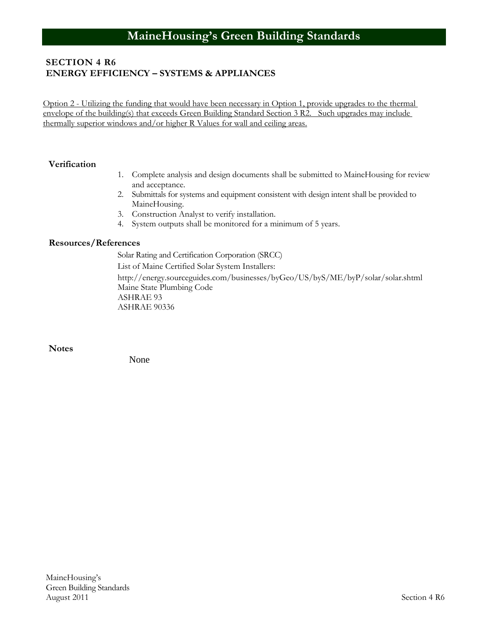# **SECTION 4 R6 ENERGY EFFICIENCY – SYSTEMS & APPLIANCES**

Option 2 - Utilizing the funding that would have been necessary in Option 1, provide upgrades to the thermal envelope of the building(s) that exceeds Green Building Standard Section 3 R2. Such upgrades may include thermally superior windows and/or higher R Values for wall and ceiling areas.

#### **Verification**

- 1. Complete analysis and design documents shall be submitted to MaineHousing for review and acceptance.
- 2. Submittals for systems and equipment consistent with design intent shall be provided to MaineHousing.
- 3. Construction Analyst to verify installation.
- 4. System outputs shall be monitored for a minimum of 5 years.

#### **Resources/References**

Solar Rating and Certification Corporation (SRCC) List of Maine Certified Solar System Installers:

http://energy.sourceguides.com/businesses/byGeo/US/byS/ME/byP/solar/solar.shtml Maine State Plumbing Code ASHRAE 93 ASHRAE 90336

**Notes**

None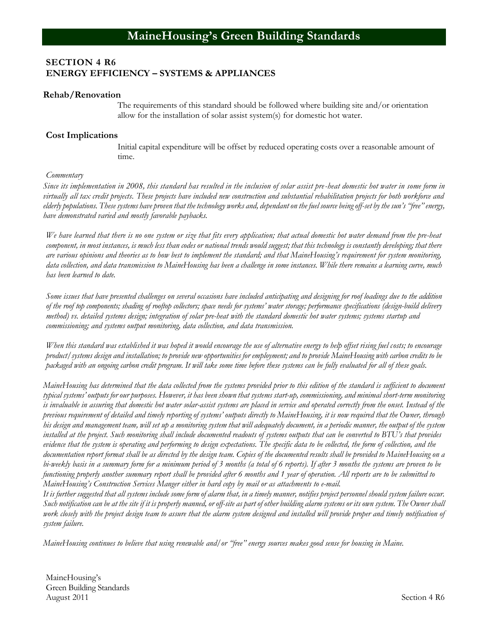## **SECTION 4 R6 ENERGY EFFICIENCY – SYSTEMS & APPLIANCES**

#### **Rehab/Renovation**

The requirements of this standard should be followed where building site and/or orientation allow for the installation of solar assist system(s) for domestic hot water.

#### **Cost Implications**

Initial capital expenditure will be offset by reduced operating costs over a reasonable amount of time.

#### *Commentary*

*Since its implementation in 2008, this standard has resulted in the inclusion of solar assist pre-heat domestic hot water in some form in virtually all tax credit projects. These projects have included new construction and substantial rehabilitation projects for both workforce and elderly populations. These systems have proven that the technology works and, dependant on the fuel source being off-set by the sun's "free" energy, have demonstrated varied and mostly favorable paybacks.* 

*We have learned that there is no one system or size that fits every application; that actual domestic hot water demand from the pre-heat component, in most instances, is much less than codes or national trends would suggest; that this technology is constantly developing; that there are various opinions and theories as to how best to implement the standard; and that MaineHousing's requirement for system monitoring, data collection, and data transmission to MaineHousing has been a challenge in some instances. While there remains a learning curve, much has been learned to date.*

*Some issues that have presented challenges on several occasions have included anticipating and designing for roof loadings due to the addition of the roof top components; shading of rooftop collectors; space needs for systems' water storage; performance specifications (design-build delivery method) vs. detailed systems design; integration of solar pre-heat with the standard domestic hot water systems; systems startup and commissioning; and systems output monitoring, data collection, and data transmission.*

*When this standard was established it was hoped it would encourage the use of alternative energy to help offset rising fuel costs; to encourage product/systems design and installation; to provide new opportunities for employment; and to provide MaineHousing with carbon credits to be packaged with an ongoing carbon credit program. It will take some time before these systems can be fully evaluated for all of these goals.*

*MaineHousing has determined that the data collected from the systems provided prior to this edition of the standard is sufficient to document typical systems' outputs for our purposes. However, it has been shown that systems start-up, commissioning, and minimal short-term monitoring is invaluable in assuring that domestic hot water solar-assist systems are placed in service and operated correctly from the onset. Instead of the previous requirement of detailed and timely reporting of systems' outputs directly to MaineHousing, it is now required that the Owner, through his design and management team, will set up a monitoring system that will adequately document, in a periodic manner, the output of the system installed at the project. Such monitoring shall include documented readouts of systems outputs that can be converted to BTU's that provides evidence that the system is operating and performing to design expectations. The specific data to be collected, the form of collection, and the documentation report format shall be as directed by the design team. Copies of the documented results shall be provided to MaineHousing on a bi-weekly basis in a summary form for a minimum period of 3 months (a total of 6 reports). If after 3 months the systems are proven to be functioning properly another summary report shall be provided after 6 months and 1 year of operation. All reports are to be submitted to MaineHousing's Construction Services Manger either in hard copy by mail or as attachments to e-mail.*

*It is further suggested that all systems include some form of alarm that, in a timely manner, notifies project personnel should system failure occur.* Such notification can be at the site if it is properly manned, or off-site as part of other building alarm systems or its own system. The Owner shall *work closely with the project design team to assure that the alarm system designed and installed will provide proper and timely notification of system failure.*

*MaineHousing continues to believe that using renewable and/or "free" energy sources makes good sense for housing in Maine.* 

MaineHousing's Green Building Standards August 2011 Section 4 R6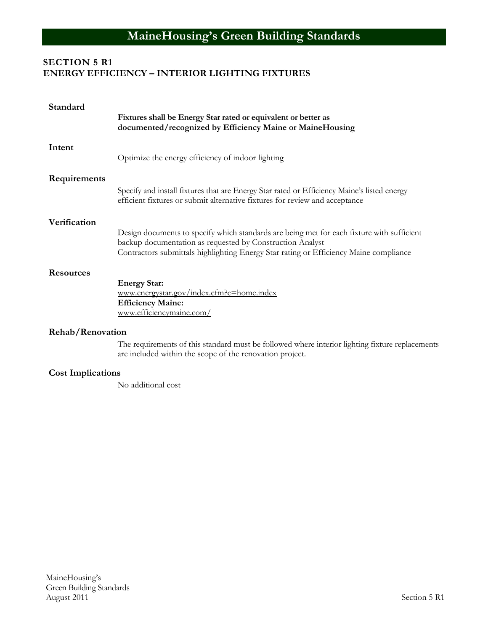# **SECTION 5 R1 ENERGY EFFICIENCY – INTERIOR LIGHTING FIXTURES**

| Standard         | Fixtures shall be Energy Star rated or equivalent or better as<br>documented/recognized by Efficiency Maine or MaineHousing                                                                                                                      |
|------------------|--------------------------------------------------------------------------------------------------------------------------------------------------------------------------------------------------------------------------------------------------|
| Intent           | Optimize the energy efficiency of indoor lighting                                                                                                                                                                                                |
| Requirements     | Specify and install fixtures that are Energy Star rated or Efficiency Maine's listed energy<br>efficient fixtures or submit alternative fixtures for review and acceptance                                                                       |
| Verification     | Design documents to specify which standards are being met for each fixture with sufficient<br>backup documentation as requested by Construction Analyst<br>Contractors submittals highlighting Energy Star rating or Efficiency Maine compliance |
| <b>Resources</b> | <b>Energy Star:</b><br>www.energystar.gov/index.cfm?c=home.index<br><b>Efficiency Maine:</b><br>www.efficiencymaine.com/                                                                                                                         |
| Rehab/Renovation | The requirements of this standard must be followed where interior lighting fixture replacements<br>are included within the scope of the renovation project.                                                                                      |

# **Cost Implications**

No additional cost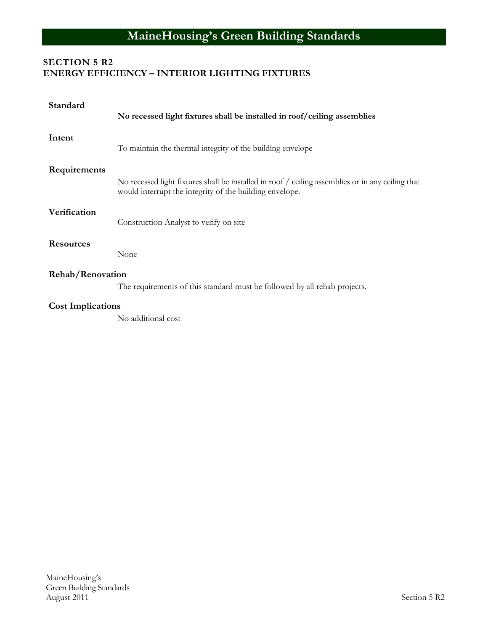# **SECTION 5 R2 ENERGY EFFICIENCY – INTERIOR LIGHTING FIXTURES**

| Standard                 | No recessed light fixtures shall be installed in roof/ceiling assemblies                                                                                     |  |
|--------------------------|--------------------------------------------------------------------------------------------------------------------------------------------------------------|--|
| Intent                   | To maintain the thermal integrity of the building envelope                                                                                                   |  |
| Requirements             | No recessed light fixtures shall be installed in roof / ceiling assemblies or in any ceiling that<br>would interrupt the integrity of the building envelope. |  |
| Verification             | Construction Analyst to verify on site                                                                                                                       |  |
| <b>Resources</b>         | None                                                                                                                                                         |  |
| Rehab/Renovation         |                                                                                                                                                              |  |
|                          | The requirements of this standard must be followed by all rehab projects.                                                                                    |  |
| <b>Cost Implications</b> |                                                                                                                                                              |  |
|                          | No additional cost                                                                                                                                           |  |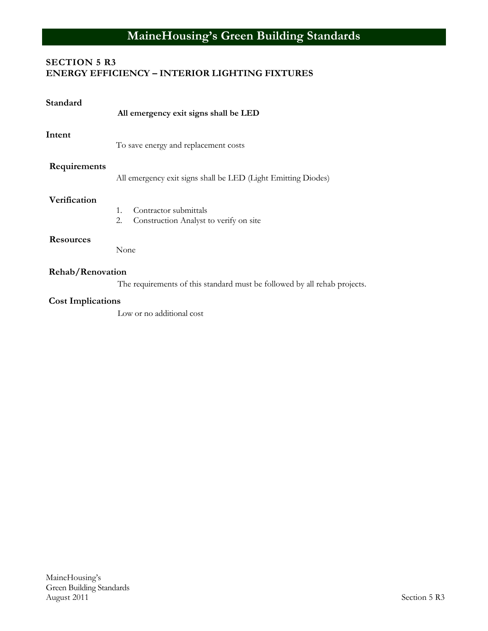## **SECTION 5 R3 ENERGY EFFICIENCY – INTERIOR LIGHTING FIXTURES**

| Standard                 | All emergency exit signs shall be LED                                                   |
|--------------------------|-----------------------------------------------------------------------------------------|
| Intent                   | To save energy and replacement costs                                                    |
| Requirements             | All emergency exit signs shall be LED (Light Emitting Diodes)                           |
| Verification             | Contractor submittals<br>$\mathbf{1}$ .<br>2.<br>Construction Analyst to verify on site |
| <b>Resources</b>         | None                                                                                    |
| Rehab/Renovation         | The requirements of this standard must be followed by all rehab projects.               |
| <b>Cost Implications</b> |                                                                                         |
|                          | Low or no additional cost                                                               |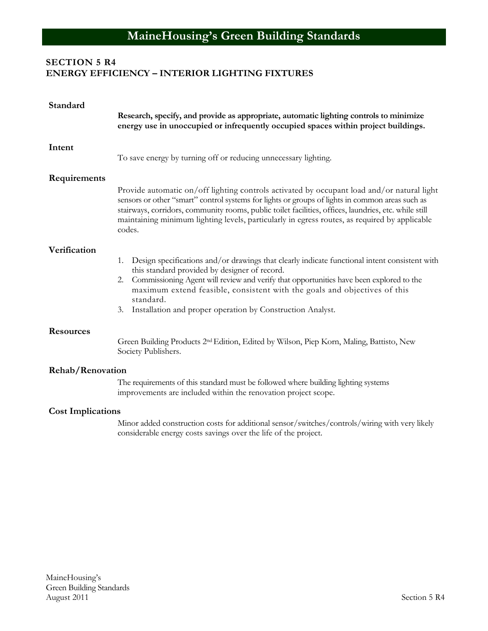## **SECTION 5 R4 ENERGY EFFICIENCY – INTERIOR LIGHTING FIXTURES**

| Standard                 | Research, specify, and provide as appropriate, automatic lighting controls to minimize<br>energy use in unoccupied or infrequently occupied spaces within project buildings.                                                                                                                                                                                                                                      |
|--------------------------|-------------------------------------------------------------------------------------------------------------------------------------------------------------------------------------------------------------------------------------------------------------------------------------------------------------------------------------------------------------------------------------------------------------------|
| Intent                   | To save energy by turning off or reducing unnecessary lighting.                                                                                                                                                                                                                                                                                                                                                   |
| Requirements             | Provide automatic on/off lighting controls activated by occupant load and/or natural light<br>sensors or other "smart" control systems for lights or groups of lights in common areas such as<br>stairways, corridors, community rooms, public toilet facilities, offices, laundries, etc. while still<br>maintaining minimum lighting levels, particularly in egress routes, as required by applicable<br>codes. |
| Verification             | Design specifications and/or drawings that clearly indicate functional intent consistent with<br>1.<br>this standard provided by designer of record.<br>2. Commissioning Agent will review and verify that opportunities have been explored to the<br>maximum extend feasible, consistent with the goals and objectives of this<br>standard.<br>Installation and proper operation by Construction Analyst.<br>3.  |
| <b>Resources</b>         | Green Building Products 2 <sup>nd</sup> Edition, Edited by Wilson, Piep Korn, Maling, Battisto, New<br>Society Publishers.                                                                                                                                                                                                                                                                                        |
| <b>Rehab/Renovation</b>  | The requirements of this standard must be followed where building lighting systems<br>improvements are included within the renovation project scope.                                                                                                                                                                                                                                                              |
| <b>Cost Implications</b> |                                                                                                                                                                                                                                                                                                                                                                                                                   |
|                          | Minor added construction costs for additional sensor/switches/controls/wiring with very likely<br>considerable energy costs savings over the life of the project.                                                                                                                                                                                                                                                 |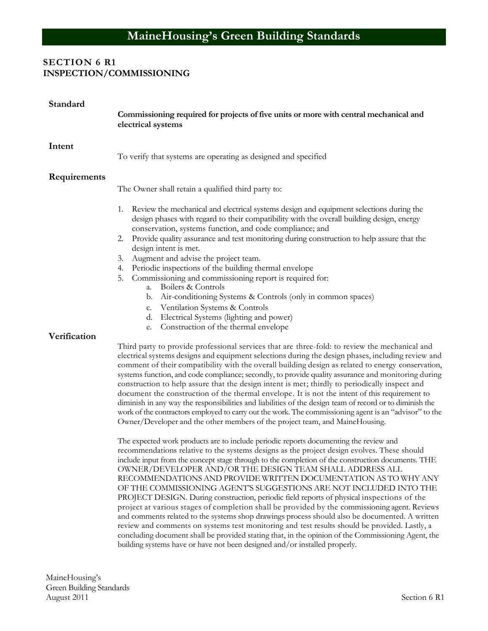# **SECTION 6 R1 INSPECTION/COMMISSIONING**

| Standard     | Commissioning required for projects of five units or more with central mechanical and<br>electrical systems                                                                                                                                                                                                                                                                                                                                                                                                                                                                                                                                                                                                                                                                                                                                                                                                                                                                                                                                                                                                                                                                                                                                                                                                                                             |  |  |
|--------------|---------------------------------------------------------------------------------------------------------------------------------------------------------------------------------------------------------------------------------------------------------------------------------------------------------------------------------------------------------------------------------------------------------------------------------------------------------------------------------------------------------------------------------------------------------------------------------------------------------------------------------------------------------------------------------------------------------------------------------------------------------------------------------------------------------------------------------------------------------------------------------------------------------------------------------------------------------------------------------------------------------------------------------------------------------------------------------------------------------------------------------------------------------------------------------------------------------------------------------------------------------------------------------------------------------------------------------------------------------|--|--|
| Intent       | To verify that systems are operating as designed and specified                                                                                                                                                                                                                                                                                                                                                                                                                                                                                                                                                                                                                                                                                                                                                                                                                                                                                                                                                                                                                                                                                                                                                                                                                                                                                          |  |  |
| Requirements | The Owner shall retain a qualified third party to:<br>1. Review the mechanical and electrical systems design and equipment selections during the<br>design phases with regard to their compatibility with the overall building design, energy<br>conservation, systems function, and code compliance; and<br>Provide quality assurance and test monitoring during construction to help assure that the<br>2.                                                                                                                                                                                                                                                                                                                                                                                                                                                                                                                                                                                                                                                                                                                                                                                                                                                                                                                                            |  |  |
|              | design intent is met.<br>Augment and advise the project team.<br>3.<br>Periodic inspections of the building thermal envelope<br>4.<br>5.<br>Commissioning and commissioning report is required for:<br>Boilers & Controls<br>a.<br>b. Air-conditioning Systems & Controls (only in common spaces)<br>c. Ventilation Systems & Controls<br>d. Electrical Systems (lighting and power)<br>Construction of the thermal envelope<br>e.                                                                                                                                                                                                                                                                                                                                                                                                                                                                                                                                                                                                                                                                                                                                                                                                                                                                                                                      |  |  |
| Verification | Third party to provide professional services that are three-fold: to review the mechanical and<br>electrical systems designs and equipment selections during the design phases, including review and<br>comment of their compatibility with the overall building design as related to energy conservation,<br>systems function, and code compliance; secondly, to provide quality assurance and monitoring during<br>construction to help assure that the design intent is met; thirdly to periodically inspect and<br>document the construction of the thermal envelope. It is not the intent of this requirement to<br>diminish in any way the responsibilities and liabilities of the design team of record or to diminish the<br>work of the contractors employed to carry out the work. The commissioning agent is an "advisor" to the<br>Owner/Developer and the other members of the project team, and MaineHousing.<br>The expected work products are to include periodic reports documenting the review and<br>recommendations relative to the systems designs as the project design evolves. These should<br>include input from the concept stage through to the completion of the construction documents. THE<br>OWNER/DEVELOPER AND/OR THE DESIGN TEAM SHALL ADDRESS ALL<br>RECOMMENDATIONS AND PROVIDE WRITTEN DOCUMENTATION AS TO WHY ANY |  |  |

OF THE COMMISSIONING AGENT'S SUGGESTIONS ARE NOT INCLUDED INTO THE PROJECT DESIGN. During construction, periodic field reports of physical inspections of the project at various stages of completion shall be provided by the commissioning agent. Reviews and comments related to the systems shop drawings process should also be documented. A written review and comments on systems test monitoring and test results should be provided. Lastly, a concluding document shall be provided stating that, in the opinion of the Commissioning Agent, the building systems have or have not been designed and/or installed properly.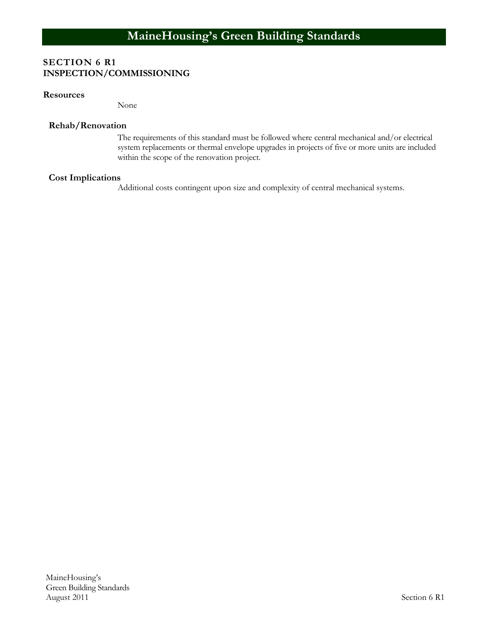# **SECTION 6 R1 INSPECTION/COMMISSIONING**

#### **Resources**

None

#### **Rehab/Renovation**

The requirements of this standard must be followed where central mechanical and/or electrical system replacements or thermal envelope upgrades in projects of five or more units are included within the scope of the renovation project.

# **Cost Implications**

Additional costs contingent upon size and complexity of central mechanical systems.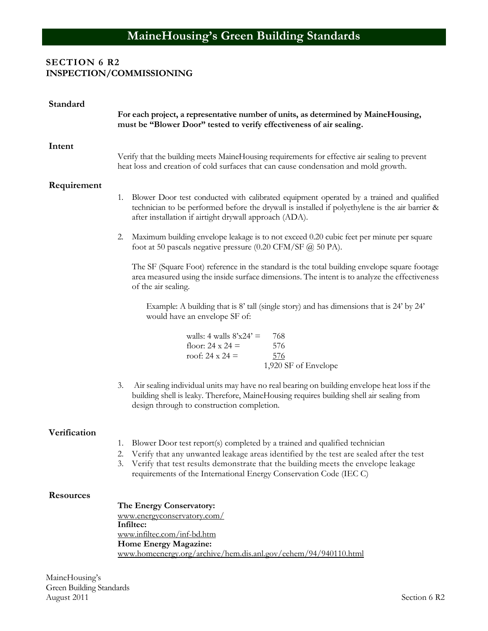# **SECTION 6 R2 INSPECTION/COMMISSIONING**

| Standard         | For each project, a representative number of units, as determined by MaineHousing,<br>must be "Blower Door" tested to verify effectiveness of air sealing.                                                                                                                                                                             |
|------------------|----------------------------------------------------------------------------------------------------------------------------------------------------------------------------------------------------------------------------------------------------------------------------------------------------------------------------------------|
|                  |                                                                                                                                                                                                                                                                                                                                        |
| Intent           | Verify that the building meets MaineHousing requirements for effective air sealing to prevent<br>heat loss and creation of cold surfaces that can cause condensation and mold growth.                                                                                                                                                  |
| Requirement      | Blower Door test conducted with calibrated equipment operated by a trained and qualified<br>1.<br>technician to be performed before the drywall is installed if polyethylene is the air barrier &<br>after installation if airtight drywall approach (ADA).                                                                            |
|                  | Maximum building envelope leakage is to not exceed 0.20 cubic feet per minute per square<br>2.<br>foot at 50 pascals negative pressure $(0.20 \text{ CFM/SF } @ 50 \text{ PA}).$                                                                                                                                                       |
|                  | The SF (Square Foot) reference in the standard is the total building envelope square footage<br>area measured using the inside surface dimensions. The intent is to analyze the effectiveness<br>of the air sealing.                                                                                                                   |
|                  | Example: A building that is 8' tall (single story) and has dimensions that is 24' by 24'<br>would have an envelope SF of:                                                                                                                                                                                                              |
|                  | walls: $4$ walls $8'x24' =$<br>768<br>floor: $24 \times 24 =$<br>576<br>roof: $24 \times 24 =$<br>576<br>1,920 SF of Envelope                                                                                                                                                                                                          |
|                  | Air sealing individual units may have no real bearing on building envelope heat loss if the<br>3.<br>building shell is leaky. Therefore, MaineHousing requires building shell air sealing from<br>design through to construction completion.                                                                                           |
| Verification     | 1. Blower Door test report(s) completed by a trained and qualified technician<br>2. Verify that any unwanted leakage areas identified by the test are sealed after the test<br>Verify that test results demonstrate that the building meets the envelope leakage<br>requirements of the International Energy Conservation Code (IEC C) |
| <b>Resources</b> | The Energy Conservatory:<br>www.energyconservatory.com/<br>Infiltec:<br>www.infiltec.com/inf-bd.htm<br>Home Energy Magazine:<br>www.homeenergy.org/archive/hem.dis.anl.gov/eehem/94/940110.html                                                                                                                                        |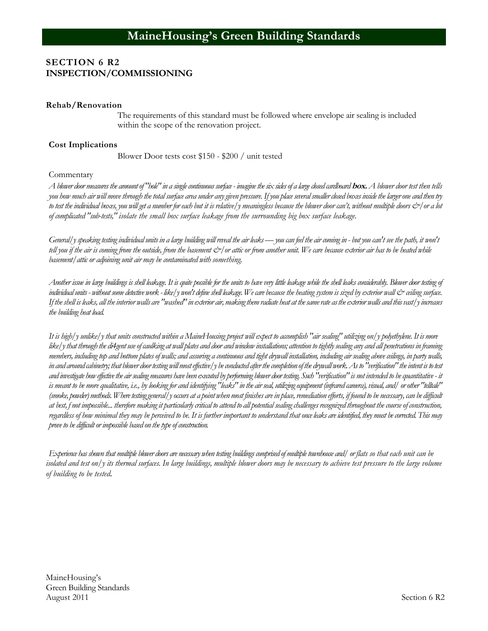### **SECTION 6 R2 INSPECTION/COMMISSIONING**

#### **Rehab/Renovation**

The requirements of this standard must be followed where envelope air sealing is included within the scope of the renovation project.

#### **Cost Implications**

Blower Door tests cost \$150 - \$200 / unit tested

#### Commentary

*A blower door measures the amount of "hole" in a single continuous surface - imagine the six sides of a large closed cardboard* **box.** *A blower door test then tells you how much air will move through the total surface area under anygiven pressure. Ifyou place several smaller closed boxes inside the larger one and then try to test the individual boxes, you will get a number for each but it is relative/y meaningless because the blower door can't, without multiple doors &/or a lot of complicated "sub-tests," isolate the small box surface leakage from the surrounding big box surface leakage.*

*General/y speaking testing individual units in a large building will reveal the air leaks —you can feel the air coming in - but you can't see the path, it won't tell you if the air is coming from the outside, from the basement &/or attic or from another unit. We care because exterior air has to be heated while basement/attic or adjoining unit air may be contaminated with something.*

*Another issue in large buildings is shell leakage. It is quite possible for the units to have very little leakage while the shell leaks considerably. Blower door testing of individual units -without some detective work - like/y won't define shell leakage. We care because the heating system is sized byexterior wall & ceiling surface. If the shell is leaks, all the interior walls are "washed" in exterior air, making them radiate heat at the same rate as the exterior walls and this vast/y increases the building heat load.*

*It is high/y unlike/y that units constructed within a MaineHousing project will expect to accomplish "air sealing" utilizing on/y polyethylene. It is more*  like/y that through the di4gent use of caulking at wall plates and door and window installations; attention to tightly sealing any and all penetrations in framing *members, including top and bottom plates of walls; and assuring a continuous and tight drywall installation, including air sealing above ceilings, in party walls, in and around cabinetry; that blower door testing will most effective/y be conducted after the completion of the drywall work. As to "verification" the intent is to test and investigate how effective the air sealing measures have been executed by performing blower door testing. Such "verification" is not intended to be quantitative - it is meant to be more qualitative, i.e., by looking for and identifying "leaks" in the air seal, utilizing equipment (infrared camera), visual, and/ or other "telltale" (smoke, powder) methods. Where testing general/y occurs at a point when most finishes are in place, remediation efforts, if found to be necessary, can be difficult at best, f not impossible... therefore making it particularly critical to attend to all potential sealing challenges recognized throughout the course of construction, regardless of how minimal they may be perceived to be. It is further important to understand that once leaks are identified, they must be corrected. This may prove to be difficult or impossible based on the type of construction.*

*Experience has shown that multiple blower doors are necessary when testing buildings comprised of multiple townhouse and/ or flats so that each unit can be isolated and test on/y its thermal surfaces. In large buildings, multiple blower doors may be necessary to achieve test pressure to the large volume of building to be tested.*

MaineHousing's Green Building Standards August 2011 Section 6 R2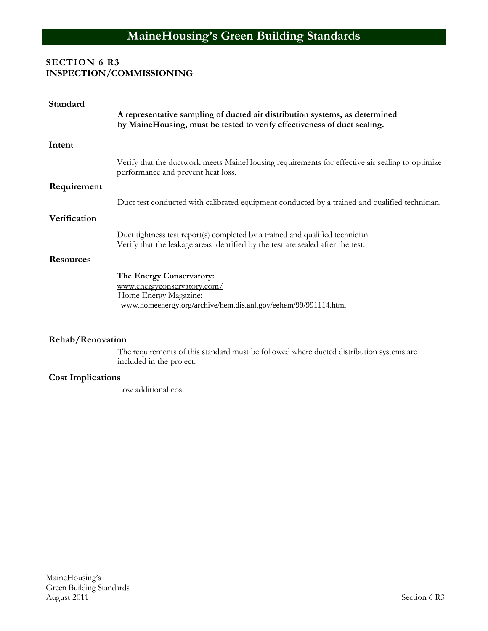# **SECTION 6 R3 INSPECTION/COMMISSIONING**

| Standard                                                                                                                                                |                                                                                                                                                                   |
|---------------------------------------------------------------------------------------------------------------------------------------------------------|-------------------------------------------------------------------------------------------------------------------------------------------------------------------|
| A representative sampling of ducted air distribution systems, as determined<br>by MaineHousing, must be tested to verify effectiveness of duct sealing. |                                                                                                                                                                   |
| Intent                                                                                                                                                  |                                                                                                                                                                   |
|                                                                                                                                                         | Verify that the ductwork meets MaineHousing requirements for effective air sealing to optimize<br>performance and prevent heat loss.                              |
| Requirement                                                                                                                                             |                                                                                                                                                                   |
|                                                                                                                                                         | Duct test conducted with calibrated equipment conducted by a trained and qualified technician.                                                                    |
| Verification                                                                                                                                            |                                                                                                                                                                   |
|                                                                                                                                                         | Duct tightness test report(s) completed by a trained and qualified technician.<br>Verify that the leakage areas identified by the test are sealed after the test. |
| <b>Resources</b>                                                                                                                                        |                                                                                                                                                                   |
|                                                                                                                                                         | The Energy Conservatory:                                                                                                                                          |
|                                                                                                                                                         | www.energyconservatory.com/                                                                                                                                       |
|                                                                                                                                                         | Home Energy Magazine:                                                                                                                                             |
|                                                                                                                                                         | www.homeenergy.org/archive/hem.dis.anl.gov/eehem/99/991114.html                                                                                                   |

#### **Rehab/Renovation**

The requirements of this standard must be followed where ducted distribution systems are included in the project.

# **Cost Implications**

Low additional cost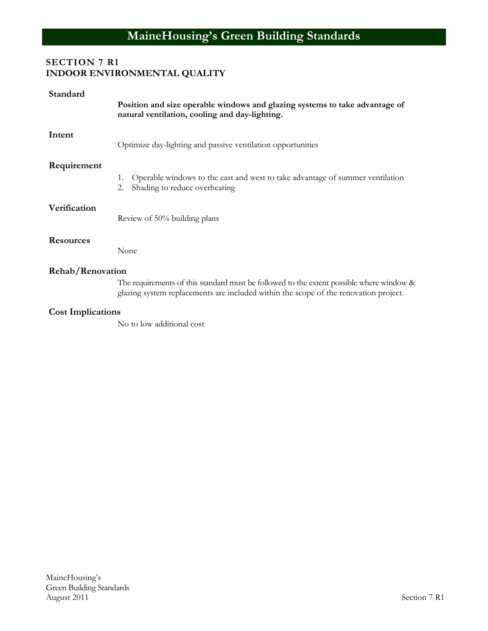# **SECTION 7 R1 INDOOR ENVIRONMENTAL QUALITY**

| Standard                 | Position and size operable windows and glazing systems to take advantage of<br>natural ventilation, cooling and day-lighting.                                                    |
|--------------------------|----------------------------------------------------------------------------------------------------------------------------------------------------------------------------------|
| Intent                   | Optimize day-lighting and passive ventilation opportunities                                                                                                                      |
| Requirement              | Operable windows to the east and west to take advantage of summer ventilation<br>1.<br>Shading to reduce overheating<br>2.                                                       |
| Verification             | Review of 50% building plans                                                                                                                                                     |
| <b>Resources</b>         | None                                                                                                                                                                             |
| Rehab/Renovation         |                                                                                                                                                                                  |
|                          | The requirements of this standard must be followed to the extent possible where window &<br>glazing system replacements are included within the scope of the renovation project. |
| <b>Cost Implications</b> |                                                                                                                                                                                  |

No to low additional cost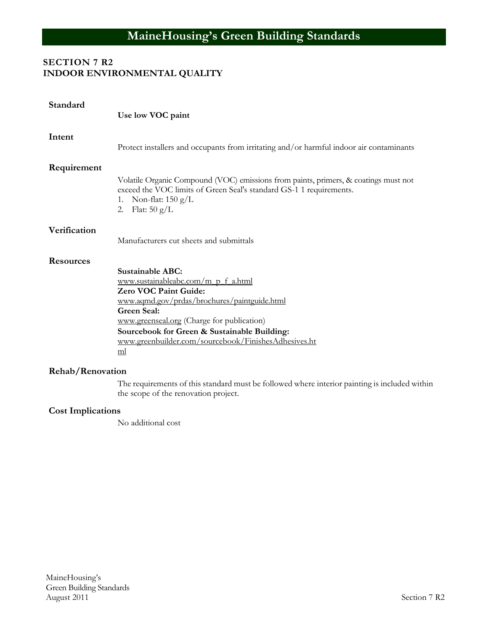# **SECTION 7 R2 INDOOR ENVIRONMENTAL QUALITY**

| Standard         | Use low VOC paint                                                                                                                                                                                                                                                                                                         |
|------------------|---------------------------------------------------------------------------------------------------------------------------------------------------------------------------------------------------------------------------------------------------------------------------------------------------------------------------|
| Intent           | Protect installers and occupants from irritating and/or harmful indoor air contaminants                                                                                                                                                                                                                                   |
| Requirement      | Volatile Organic Compound (VOC) emissions from paints, primers, & coatings must not<br>exceed the VOC limits of Green Seal's standard GS-1 1 requirements.<br>Non-flat: $150 \text{ g/L}$<br>1.<br>Flat: $50 \text{ g/L}$<br>2.                                                                                           |
| Verification     | Manufacturers cut sheets and submittals                                                                                                                                                                                                                                                                                   |
| <b>Resources</b> | <b>Sustainable ABC:</b><br>www.sustainableabc.com/m p f a.html<br>Zero VOC Paint Guide:<br>www.aqmd.gov/prdas/brochures/paintguide.html<br><b>Green Seal:</b><br>www.greenseal.org (Charge for publication)<br>Sourcebook for Green & Sustainable Building:<br>www.greenbuilder.com/sourcebook/FinishesAdhesives.ht<br>ml |
| Rehab/Renovation | The requirements of this standard must be followed where interior painting is included within                                                                                                                                                                                                                             |
|                  |                                                                                                                                                                                                                                                                                                                           |

**Cost Implications**

No additional cost

the scope of the renovation project.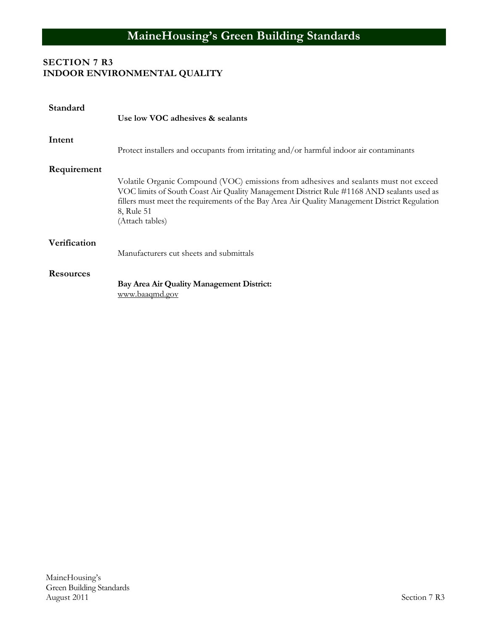# **MaineHousing's Green Building Standards**

# **SECTION 7 R3 INDOOR ENVIRONMENTAL QUALITY**

| Standard         | Use low VOC adhesives & sealants                                                                                                                                                                                                                                                                                     |
|------------------|----------------------------------------------------------------------------------------------------------------------------------------------------------------------------------------------------------------------------------------------------------------------------------------------------------------------|
| Intent           | Protect installers and occupants from irritating and/or harmful indoor air contaminants                                                                                                                                                                                                                              |
| Requirement      |                                                                                                                                                                                                                                                                                                                      |
|                  | Volatile Organic Compound (VOC) emissions from adhesives and sealants must not exceed<br>VOC limits of South Coast Air Quality Management District Rule #1168 AND sealants used as<br>fillers must meet the requirements of the Bay Area Air Quality Management District Regulation<br>8, Rule 51<br>(Attach tables) |
| Verification     |                                                                                                                                                                                                                                                                                                                      |
|                  | Manufacturers cut sheets and submittals                                                                                                                                                                                                                                                                              |
| <b>Resources</b> | Bay Area Air Quality Management District:<br>www.baaqmd.gov                                                                                                                                                                                                                                                          |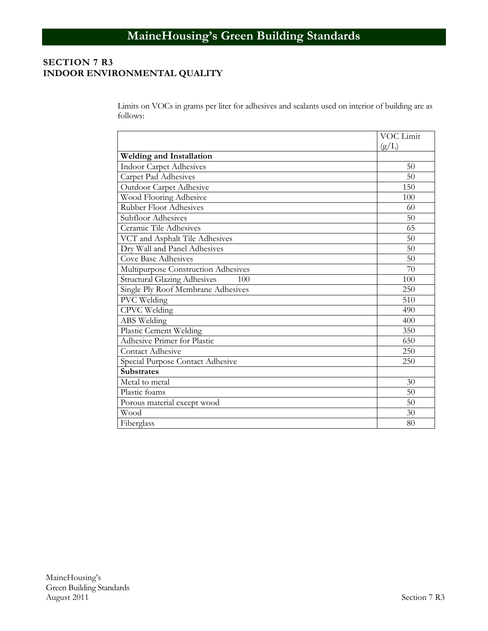# **SECTION 7 R3 INDOOR ENVIRONMENTAL QUALITY**

Limits on VOCs in grams per liter for adhesives and sealants used on interior of building are as follows:

|                                            | VOC Limit |
|--------------------------------------------|-----------|
|                                            | (g/L)     |
| <b>Welding and Installation</b>            |           |
| <b>Indoor Carpet Adhesives</b>             | 50        |
| Carpet Pad Adhesives                       | 50        |
| Outdoor Carpet Adhesive                    | 150       |
| Wood Flooring Adhesive                     | 100       |
| <b>Rubber Floor Adhesives</b>              | 60        |
| Subfloor Adhesives                         | 50        |
| Ceramic Tile Adhesives                     | 65        |
| VCT and Asphalt Tile Adhesives             | 50        |
| Dry Wall and Panel Adhesives               | 50        |
| <b>Cove Base Adhesives</b>                 | 50        |
| Multipurpose Construction Adhesives        | 70        |
| <b>Structural Glazing Adhesives</b><br>100 | 100       |
| Single Ply Roof Membrane Adhesives         | 250       |
| PVC Welding                                | 510       |
| CPVC Welding                               | 490       |
| ABS Welding                                | 400       |
| Plastic Cement Welding                     | 350       |
| Adhesive Primer for Plastic                | 650       |
| Contact Adhesive                           | 250       |
| Special Purpose Contact Adhesive           | 250       |
| <b>Substrates</b>                          |           |
| Metal to metal                             | 30        |
| Plastic foams                              | 50        |
| Porous material except wood                | 50        |
| Wood                                       | 30        |
| Fiberglass                                 | 80        |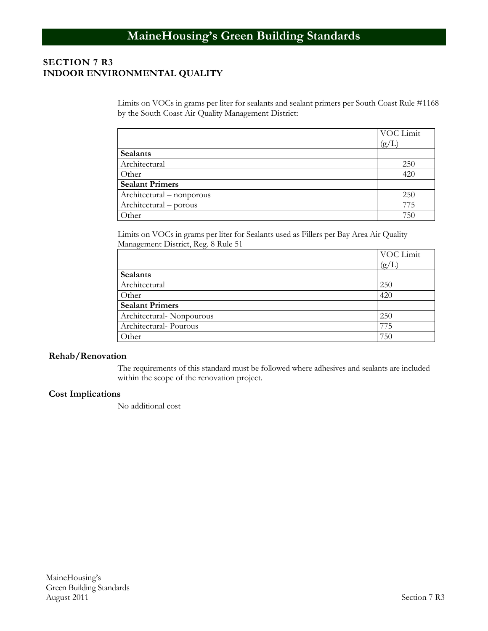# **SECTION 7 R3 INDOOR ENVIRONMENTAL QUALITY**

Limits on VOCs in grams per liter for sealants and sealant primers per South Coast Rule #1168 by the South Coast Air Quality Management District:

|                           | VOC Limit |
|---------------------------|-----------|
|                           | (g/L)     |
| <b>Sealants</b>           |           |
| Architectural             | 250       |
| Other                     | 420       |
| <b>Sealant Primers</b>    |           |
| Architectural – nonporous | 250       |
| Architectural – porous    | 775       |
| Other                     | 750       |

Limits on VOCs in grams per liter for Sealants used as Fillers per Bay Area Air Quality Management District, Reg. 8 Rule 51

|                          | VOC Limit |
|--------------------------|-----------|
|                          | (g/L)     |
| Sealants                 |           |
| Architectural            | 250       |
| Other                    | 420       |
| <b>Sealant Primers</b>   |           |
| Architectural-Nonpourous | 250       |
| Architectural-Pourous    | 775       |
| Other                    | 750       |

#### **Rehab/Renovation**

The requirements of this standard must be followed where adhesives and sealants are included within the scope of the renovation project.

#### **Cost Implications**

No additional cost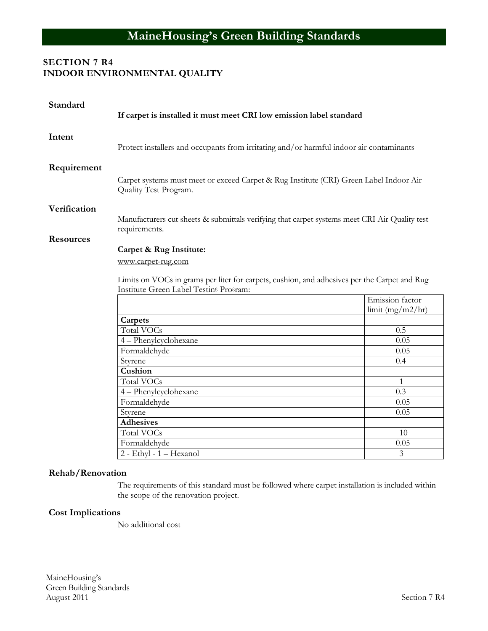# **SECTION 7 R4 INDOOR ENVIRONMENTAL QUALITY**

| Standard         | If carpet is installed it must meet CRI low emission label standard                                                                                |              |  |  |
|------------------|----------------------------------------------------------------------------------------------------------------------------------------------------|--------------|--|--|
| Intent           | Protect installers and occupants from irritating and/or harmful indoor air contaminants                                                            |              |  |  |
| Requirement      | Carpet systems must meet or exceed Carpet & Rug Institute (CRI) Green Label Indoor Air<br>Quality Test Program.                                    |              |  |  |
| Verification     | Manufacturers cut sheets & submittals verifying that carpet systems meet CRI Air Quality test<br>requirements.                                     |              |  |  |
| <b>Resources</b> |                                                                                                                                                    |              |  |  |
|                  | Carpet & Rug Institute:                                                                                                                            |              |  |  |
|                  | www.carpet-rug.com                                                                                                                                 |              |  |  |
|                  | Limits on VOCs in grams per liter for carpets, cushion, and adhesives per the Carpet and Rug<br>Institute Green Label Testin <sup>g</sup> Program: |              |  |  |
|                  | Emission factor<br>limit $(mg/m2/hr)$                                                                                                              |              |  |  |
|                  | Carpets                                                                                                                                            |              |  |  |
|                  | Total VOCs                                                                                                                                         | 0.5          |  |  |
|                  | 4 - Phenylcyclohexane                                                                                                                              | 0.05         |  |  |
|                  | Formaldehyde                                                                                                                                       | 0.05         |  |  |
|                  | Styrene                                                                                                                                            | 0.4          |  |  |
|                  | Cushion                                                                                                                                            |              |  |  |
|                  | <b>Total VOCs</b>                                                                                                                                  | $\mathbf{1}$ |  |  |
|                  | 4 - Phenylcyclohexane                                                                                                                              | 0.3          |  |  |
|                  | Formaldehyde                                                                                                                                       | 0.05         |  |  |
|                  | Styrene                                                                                                                                            | 0.05         |  |  |
|                  | <b>Adhesives</b>                                                                                                                                   |              |  |  |
|                  | <b>Total VOCs</b>                                                                                                                                  | 10           |  |  |
|                  | Formaldehyde                                                                                                                                       | 0.05         |  |  |
|                  | 2 - Ethyl - 1 - Hexanol                                                                                                                            | 3            |  |  |

#### **Rehab/Renovation**

The requirements of this standard must be followed where carpet installation is included within the scope of the renovation project.

#### **Cost Implications**

No additional cost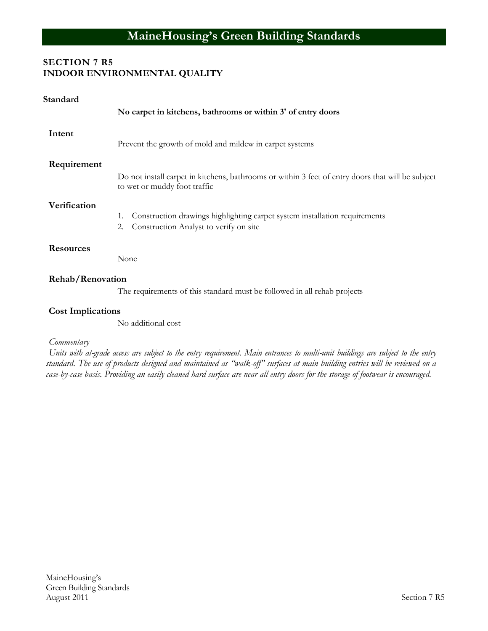# **SECTION 7 R5 INDOOR ENVIRONMENTAL QUALITY**

| Standard                 |                                                                                                                                   |  |
|--------------------------|-----------------------------------------------------------------------------------------------------------------------------------|--|
|                          | No carpet in kitchens, bathrooms or within 3' of entry doors                                                                      |  |
| Intent                   | Prevent the growth of mold and mildew in carpet systems                                                                           |  |
| Requirement              |                                                                                                                                   |  |
|                          | Do not install carpet in kitchens, bathrooms or within 3 feet of entry doors that will be subject<br>to wet or muddy foot traffic |  |
| Verification             |                                                                                                                                   |  |
|                          | Construction drawings highlighting carpet system installation requirements<br>1.                                                  |  |
|                          | Construction Analyst to verify on site<br>2.                                                                                      |  |
| <b>Resources</b>         |                                                                                                                                   |  |
|                          | None                                                                                                                              |  |
| Rehab/Renovation         |                                                                                                                                   |  |
|                          | The requirements of this standard must be followed in all rehab projects                                                          |  |
| <b>Cost Implications</b> |                                                                                                                                   |  |
|                          | No additional cost                                                                                                                |  |

#### *Commentary*

*Units with at-grade access are subject to the entry requirement. Main entrances to multi-unit buildings are subject to the entry standard. The use of products designed and maintained as "walk-off" surfaces at main building entries will be reviewed on a case-by-case basis. Providing an easily cleaned hard surface are near all entry doors for the storage of footwear is encouraged.*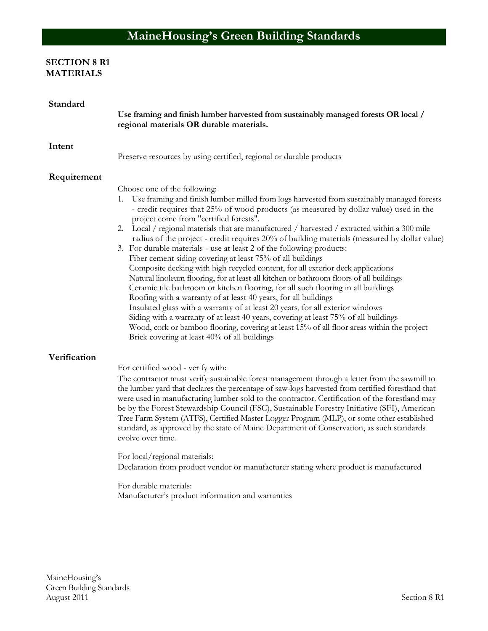# **SECTION 8 R1 MATERIALS**

| Standard     | Use framing and finish lumber harvested from sustainably managed forests OR local /<br>regional materials OR durable materials.                                                                                                                                                                                                                                                                                                                                                                                                                                                                                                                                                                                                                                                                                                                                                                                                                                                                                                                                                                                                                                                                                                                                      |
|--------------|----------------------------------------------------------------------------------------------------------------------------------------------------------------------------------------------------------------------------------------------------------------------------------------------------------------------------------------------------------------------------------------------------------------------------------------------------------------------------------------------------------------------------------------------------------------------------------------------------------------------------------------------------------------------------------------------------------------------------------------------------------------------------------------------------------------------------------------------------------------------------------------------------------------------------------------------------------------------------------------------------------------------------------------------------------------------------------------------------------------------------------------------------------------------------------------------------------------------------------------------------------------------|
| Intent       | Preserve resources by using certified, regional or durable products                                                                                                                                                                                                                                                                                                                                                                                                                                                                                                                                                                                                                                                                                                                                                                                                                                                                                                                                                                                                                                                                                                                                                                                                  |
| Requirement  | Choose one of the following:<br>1. Use framing and finish lumber milled from logs harvested from sustainably managed forests<br>- credit requires that 25% of wood products (as measured by dollar value) used in the<br>project come from "certified forests".<br>2. Local / regional materials that are manufactured / harvested / extracted within a 300 mile<br>radius of the project - credit requires 20% of building materials (measured by dollar value)<br>3. For durable materials - use at least 2 of the following products:<br>Fiber cement siding covering at least 75% of all buildings<br>Composite decking with high recycled content, for all exterior deck applications<br>Natural linoleum flooring, for at least all kitchen or bathroom floors of all buildings<br>Ceramic tile bathroom or kitchen flooring, for all such flooring in all buildings<br>Roofing with a warranty of at least 40 years, for all buildings<br>Insulated glass with a warranty of at least 20 years, for all exterior windows<br>Siding with a warranty of at least 40 years, covering at least 75% of all buildings<br>Wood, cork or bamboo flooring, covering at least 15% of all floor areas within the project<br>Brick covering at least 40% of all buildings |
| Verification | For certified wood - verify with:<br>The contractor must verify sustainable forest management through a letter from the sawmill to<br>the lumber yard that declares the percentage of saw-logs harvested from certified forestland that<br>were used in manufacturing lumber sold to the contractor. Certification of the forestland may<br>be by the Forest Stewardship Council (FSC), Sustainable Forestry Initiative (SFI), American<br>Tree Farm System (ATFS), Certified Master Logger Program (MLP), or some other established<br>standard, as approved by the state of Maine Department of Conservation, as such standards<br>evolve over time.<br>For local/regional materials:<br>Declaration from product vendor or manufacturer stating where product is manufactured<br>For durable materials:<br>Manufacturer's product information and warranties                                                                                                                                                                                                                                                                                                                                                                                                      |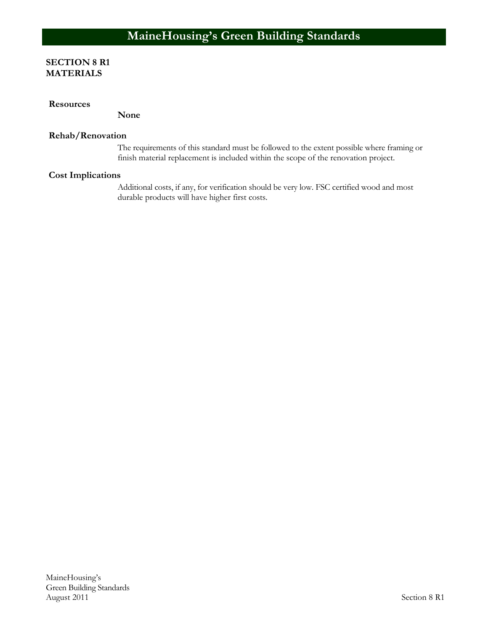#### **SECTION 8 R1 MATERIALS**

#### **Resources**

**None**

#### **Rehab/Renovation**

The requirements of this standard must be followed to the extent possible where framing or finish material replacement is included within the scope of the renovation project.

#### **Cost Implications**

Additional costs, if any, for verification should be very low. FSC certified wood and most durable products will have higher first costs.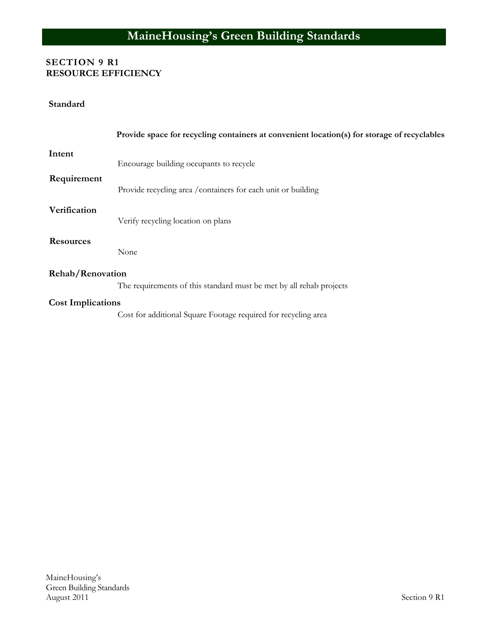# **SECTION 9 R1 RESOURCE EFFICIENCY**

#### **Standard**

|                                                                                         | Provide space for recycling containers at convenient location(s) for storage of recyclables |
|-----------------------------------------------------------------------------------------|---------------------------------------------------------------------------------------------|
| Intent                                                                                  | Encourage building occupants to recycle                                                     |
| Requirement                                                                             | Provide recycling area / containers for each unit or building                               |
| Verification                                                                            | Verify recycling location on plans                                                          |
| <b>Resources</b>                                                                        | None                                                                                        |
| Rehab/Renovation<br>The requirements of this standard must be met by all rehab projects |                                                                                             |
| <b>Cost Implications</b>                                                                | Cost for additional Square Footage required for recycling area                              |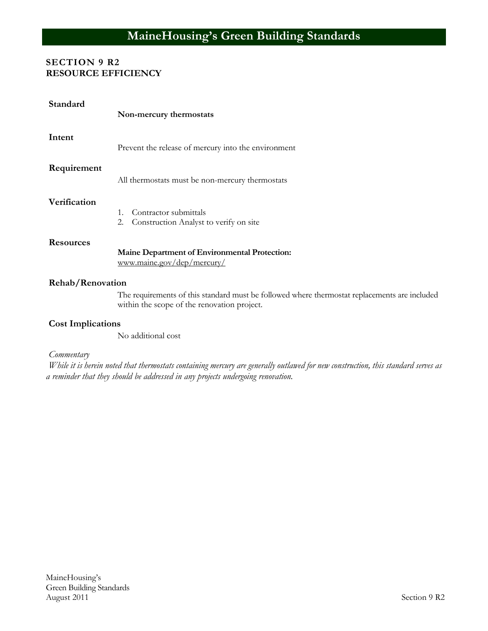### **SECTION 9 R2 RESOURCE EFFICIENCY**

| Standard         | Non-mercury thermostats                                                            |
|------------------|------------------------------------------------------------------------------------|
| Intent           | Prevent the release of mercury into the environment                                |
| Requirement      | All thermostats must be non-mercury thermostats                                    |
| Verification     | Contractor submittals<br>$1_{-}$<br>2.<br>Construction Analyst to verify on site   |
| <b>Resources</b> | <b>Maine Department of Environmental Protection:</b><br>www.maine.gov/dep/mercury/ |
| Rehab/Renovation | The requirements of this standard must be followed where thermosta                 |

at replacements are included within the scope of the renovation project.

# **Cost Implications**

No additional cost

#### *Commentary*

*While it is herein noted that thermostats containing mercury are generally outlawed for new construction, this standard serves as a reminder that they should be addressed in any projects undergoing renovation.*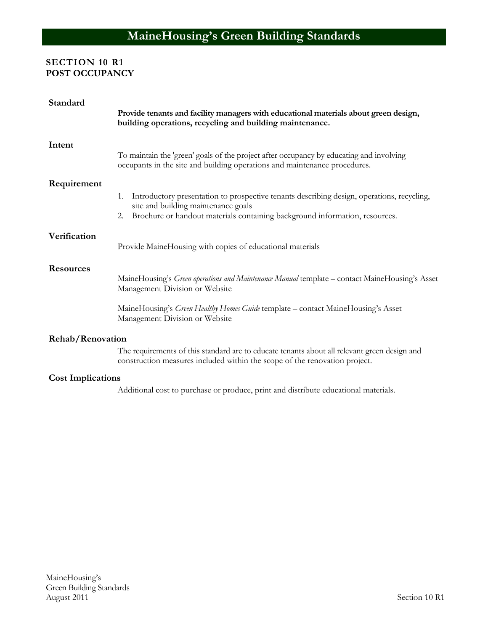# **SECTION 10 R1 POST OCCUPANCY**

| Standard                 |                                                                                                                                                                            |
|--------------------------|----------------------------------------------------------------------------------------------------------------------------------------------------------------------------|
|                          | Provide tenants and facility managers with educational materials about green design,<br>building operations, recycling and building maintenance.                           |
| Intent                   |                                                                                                                                                                            |
|                          | To maintain the 'green' goals of the project after occupancy by educating and involving<br>occupants in the site and building operations and maintenance procedures.       |
| Requirement              |                                                                                                                                                                            |
|                          | Introductory presentation to prospective tenants describing design, operations, recycling,<br>1.<br>site and building maintenance goals                                    |
|                          | Brochure or handout materials containing background information, resources.<br>2.                                                                                          |
| Verification             |                                                                                                                                                                            |
|                          | Provide MaineHousing with copies of educational materials                                                                                                                  |
| <b>Resources</b>         |                                                                                                                                                                            |
|                          | MaineHousing's Green operations and Maintenance Manual template - contact MaineHousing's Asset<br>Management Division or Website                                           |
|                          | MaineHousing's Green Healthy Homes Guide template - contact MaineHousing's Asset<br>Management Division or Website                                                         |
| Rehab/Renovation         |                                                                                                                                                                            |
|                          | The requirements of this standard are to educate tenants about all relevant green design and<br>construction measures included within the scope of the renovation project. |
| <b>Cost Implications</b> |                                                                                                                                                                            |
|                          | Additional cost to purchase or produce, print and distribute educational materials.                                                                                        |